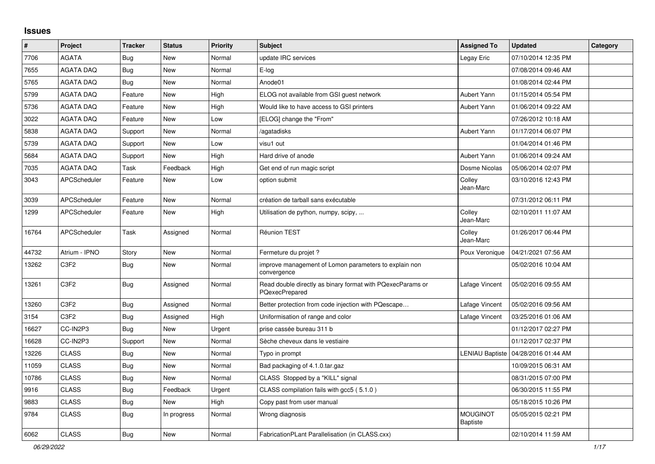## **Issues**

| $\vert$ # | Project             | <b>Tracker</b> | <b>Status</b> | <b>Priority</b> | <b>Subject</b>                                                               | <b>Assigned To</b>                 | <b>Updated</b>      | Category |
|-----------|---------------------|----------------|---------------|-----------------|------------------------------------------------------------------------------|------------------------------------|---------------------|----------|
| 7706      | <b>AGATA</b>        | Bug            | <b>New</b>    | Normal          | update IRC services                                                          | Legay Eric                         | 07/10/2014 12:35 PM |          |
| 7655      | <b>AGATA DAQ</b>    | Bug            | <b>New</b>    | Normal          | E-log                                                                        |                                    | 07/08/2014 09:46 AM |          |
| 5765      | <b>AGATA DAQ</b>    | Bug            | <b>New</b>    | Normal          | Anode01                                                                      |                                    | 01/08/2014 02:44 PM |          |
| 5799      | <b>AGATA DAQ</b>    | Feature        | <b>New</b>    | High            | ELOG not available from GSI guest network                                    | <b>Aubert Yann</b>                 | 01/15/2014 05:54 PM |          |
| 5736      | <b>AGATA DAQ</b>    | Feature        | <b>New</b>    | High            | Would like to have access to GSI printers                                    | Aubert Yann                        | 01/06/2014 09:22 AM |          |
| 3022      | AGATA DAQ           | Feature        | New           | Low             | [ELOG] change the "From"                                                     |                                    | 07/26/2012 10:18 AM |          |
| 5838      | AGATA DAQ           | Support        | <b>New</b>    | Normal          | /agatadisks                                                                  | Aubert Yann                        | 01/17/2014 06:07 PM |          |
| 5739      | <b>AGATA DAQ</b>    | Support        | <b>New</b>    | Low             | visu1 out                                                                    |                                    | 01/04/2014 01:46 PM |          |
| 5684      | AGATA DAQ           | Support        | <b>New</b>    | High            | Hard drive of anode                                                          | Aubert Yann                        | 01/06/2014 09:24 AM |          |
| 7035      | AGATA DAQ           | Task           | Feedback      | High            | Get end of run magic script                                                  | Dosme Nicolas                      | 05/06/2014 02:07 PM |          |
| 3043      | APCScheduler        | Feature        | <b>New</b>    | Low             | option submit                                                                | Colley<br>Jean-Marc                | 03/10/2016 12:43 PM |          |
| 3039      | <b>APCScheduler</b> | Feature        | <b>New</b>    | Normal          | création de tarball sans exécutable                                          |                                    | 07/31/2012 06:11 PM |          |
| 1299      | APCScheduler        | Feature        | <b>New</b>    | High            | Utilisation de python, numpy, scipy,                                         | Colley<br>Jean-Marc                | 02/10/2011 11:07 AM |          |
| 16764     | <b>APCScheduler</b> | Task           | Assigned      | Normal          | Réunion TEST                                                                 | Colley<br>Jean-Marc                | 01/26/2017 06:44 PM |          |
| 44732     | Atrium - IPNO       | Story          | <b>New</b>    | Normal          | Fermeture du projet ?                                                        | Poux Veronique                     | 04/21/2021 07:56 AM |          |
| 13262     | C3F2                | Bug            | <b>New</b>    | Normal          | improve management of Lomon parameters to explain non<br>convergence         |                                    | 05/02/2016 10:04 AM |          |
| 13261     | C3F2                | <b>Bug</b>     | Assigned      | Normal          | Read double directly as binary format with PQexecParams or<br>PQexecPrepared | Lafage Vincent                     | 05/02/2016 09:55 AM |          |
| 13260     | C3F2                | Bug            | Assigned      | Normal          | Better protection from code injection with PQescape                          | Lafage Vincent                     | 05/02/2016 09:56 AM |          |
| 3154      | C3F2                | Bug            | Assigned      | High            | Uniformisation of range and color                                            | Lafage Vincent                     | 03/25/2016 01:06 AM |          |
| 16627     | CC-IN2P3            | <b>Bug</b>     | New           | Urgent          | prise cassée bureau 311 b                                                    |                                    | 01/12/2017 02:27 PM |          |
| 16628     | CC-IN2P3            | Support        | <b>New</b>    | Normal          | Sèche cheveux dans le vestiaire                                              |                                    | 01/12/2017 02:37 PM |          |
| 13226     | <b>CLASS</b>        | <b>Bug</b>     | <b>New</b>    | Normal          | Typo in prompt                                                               | <b>LENIAU Baptiste</b>             | 04/28/2016 01:44 AM |          |
| 11059     | <b>CLASS</b>        | Bug            | <b>New</b>    | Normal          | Bad packaging of 4.1.0.tar.gaz                                               |                                    | 10/09/2015 06:31 AM |          |
| 10786     | <b>CLASS</b>        | <b>Bug</b>     | <b>New</b>    | Normal          | CLASS Stopped by a "KILL" signal                                             |                                    | 08/31/2015 07:00 PM |          |
| 9916      | <b>CLASS</b>        | <b>Bug</b>     | Feedback      | Urgent          | CLASS compilation fails with gcc5 (5.1.0)                                    |                                    | 06/30/2015 11:55 PM |          |
| 9883      | <b>CLASS</b>        | Bug            | New           | High            | Copy past from user manual                                                   |                                    | 05/18/2015 10:26 PM |          |
| 9784      | <b>CLASS</b>        | <b>Bug</b>     | In progress   | Normal          | Wrong diagnosis                                                              | <b>MOUGINOT</b><br><b>Baptiste</b> | 05/05/2015 02:21 PM |          |
| 6062      | <b>CLASS</b>        | Bug            | New           | Normal          | FabricationPLant Parallelisation (in CLASS.cxx)                              |                                    | 02/10/2014 11:59 AM |          |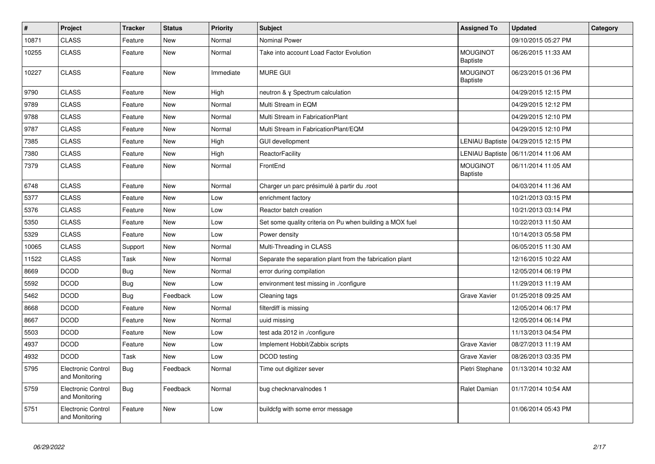| $\sharp$ | Project                                     | <b>Tracker</b> | <b>Status</b> | <b>Priority</b> | <b>Subject</b>                                           | <b>Assigned To</b>                 | <b>Updated</b>                        | Category |
|----------|---------------------------------------------|----------------|---------------|-----------------|----------------------------------------------------------|------------------------------------|---------------------------------------|----------|
| 10871    | <b>CLASS</b>                                | Feature        | New           | Normal          | Nominal Power                                            |                                    | 09/10/2015 05:27 PM                   |          |
| 10255    | <b>CLASS</b>                                | Feature        | New           | Normal          | Take into account Load Factor Evolution                  | <b>MOUGINOT</b><br><b>Baptiste</b> | 06/26/2015 11:33 AM                   |          |
| 10227    | <b>CLASS</b>                                | Feature        | New           | Immediate       | <b>MURE GUI</b>                                          | <b>MOUGINOT</b><br>Baptiste        | 06/23/2015 01:36 PM                   |          |
| 9790     | <b>CLASS</b>                                | Feature        | New           | High            | neutron & y Spectrum calculation                         |                                    | 04/29/2015 12:15 PM                   |          |
| 9789     | <b>CLASS</b>                                | Feature        | New           | Normal          | Multi Stream in EQM                                      |                                    | 04/29/2015 12:12 PM                   |          |
| 9788     | <b>CLASS</b>                                | Feature        | New           | Normal          | Multi Stream in FabricationPlant                         |                                    | 04/29/2015 12:10 PM                   |          |
| 9787     | <b>CLASS</b>                                | Feature        | <b>New</b>    | Normal          | Multi Stream in FabricationPlant/EQM                     |                                    | 04/29/2015 12:10 PM                   |          |
| 7385     | <b>CLASS</b>                                | Feature        | New           | High            | GUI devellopment                                         | <b>LENIAU Baptiste</b>             | 04/29/2015 12:15 PM                   |          |
| 7380     | <b>CLASS</b>                                | Feature        | New           | High            | ReactorFacility                                          |                                    | LENIAU Baptiste   06/11/2014 11:06 AM |          |
| 7379     | <b>CLASS</b>                                | Feature        | New           | Normal          | FrontEnd                                                 | <b>MOUGINOT</b><br><b>Baptiste</b> | 06/11/2014 11:05 AM                   |          |
| 6748     | <b>CLASS</b>                                | Feature        | <b>New</b>    | Normal          | Charger un parc présimulé à partir du .root              |                                    | 04/03/2014 11:36 AM                   |          |
| 5377     | <b>CLASS</b>                                | Feature        | New           | Low             | enrichment factory                                       |                                    | 10/21/2013 03:15 PM                   |          |
| 5376     | <b>CLASS</b>                                | Feature        | New           | Low             | Reactor batch creation                                   |                                    | 10/21/2013 03:14 PM                   |          |
| 5350     | <b>CLASS</b>                                | Feature        | <b>New</b>    | Low             | Set some quality criteria on Pu when building a MOX fuel |                                    | 10/22/2013 11:50 AM                   |          |
| 5329     | <b>CLASS</b>                                | Feature        | New           | Low             | Power density                                            |                                    | 10/14/2013 05:58 PM                   |          |
| 10065    | <b>CLASS</b>                                | Support        | New           | Normal          | Multi-Threading in CLASS                                 |                                    | 06/05/2015 11:30 AM                   |          |
| 11522    | <b>CLASS</b>                                | Task           | New           | Normal          | Separate the separation plant from the fabrication plant |                                    | 12/16/2015 10:22 AM                   |          |
| 8669     | <b>DCOD</b>                                 | <b>Bug</b>     | <b>New</b>    | Normal          | error during compilation                                 |                                    | 12/05/2014 06:19 PM                   |          |
| 5592     | <b>DCOD</b>                                 | Bug            | New           | Low             | environment test missing in ./configure                  |                                    | 11/29/2013 11:19 AM                   |          |
| 5462     | <b>DCOD</b>                                 | Bug            | Feedback      | Low             | Cleaning tags                                            | Grave Xavier                       | 01/25/2018 09:25 AM                   |          |
| 8668     | <b>DCOD</b>                                 | Feature        | New           | Normal          | filterdiff is missing                                    |                                    | 12/05/2014 06:17 PM                   |          |
| 8667     | <b>DCOD</b>                                 | Feature        | New           | Normal          | uuid missing                                             |                                    | 12/05/2014 06:14 PM                   |          |
| 5503     | <b>DCOD</b>                                 | Feature        | New           | Low             | test ada 2012 in ./configure                             |                                    | 11/13/2013 04:54 PM                   |          |
| 4937     | <b>DCOD</b>                                 | Feature        | New           | Low             | Implement Hobbit/Zabbix scripts                          | Grave Xavier                       | 08/27/2013 11:19 AM                   |          |
| 4932     | <b>DCOD</b>                                 | Task           | <b>New</b>    | Low             | DCOD testing                                             | Grave Xavier                       | 08/26/2013 03:35 PM                   |          |
| 5795     | <b>Electronic Control</b><br>and Monitoring | Bug            | Feedback      | Normal          | Time out digitizer sever                                 | Pietri Stephane                    | 01/13/2014 10:32 AM                   |          |
| 5759     | Electronic Control<br>and Monitoring        | <b>Bug</b>     | Feedback      | Normal          | bug checknarvalnodes 1                                   | Ralet Damian                       | 01/17/2014 10:54 AM                   |          |
| 5751     | Electronic Control<br>and Monitoring        | Feature        | New           | Low             | buildcfg with some error message                         |                                    | 01/06/2014 05:43 PM                   |          |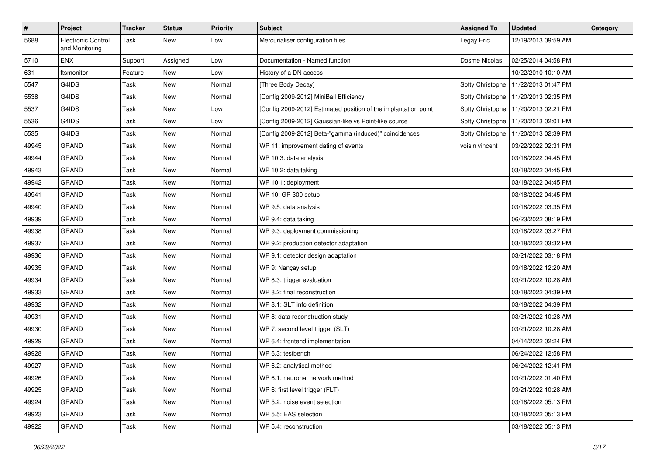| $\sharp$ | Project                              | <b>Tracker</b> | <b>Status</b> | <b>Priority</b> | <b>Subject</b>                                                  | <b>Assigned To</b> | <b>Updated</b>                         | Category |
|----------|--------------------------------------|----------------|---------------|-----------------|-----------------------------------------------------------------|--------------------|----------------------------------------|----------|
| 5688     | Electronic Control<br>and Monitoring | Task           | New           | Low             | Mercurialiser configuration files                               | Legay Eric         | 12/19/2013 09:59 AM                    |          |
| 5710     | <b>ENX</b>                           | Support        | Assigned      | Low             | Documentation - Named function                                  | Dosme Nicolas      | 02/25/2014 04:58 PM                    |          |
| 631      | ftsmonitor                           | Feature        | New           | Low             | History of a DN access                                          |                    | 10/22/2010 10:10 AM                    |          |
| 5547     | G4IDS                                | Task           | New           | Normal          | [Three Body Decay]                                              |                    | Sotty Christophe   11/22/2013 01:47 PM |          |
| 5538     | G4IDS                                | Task           | <b>New</b>    | Normal          | [Config 2009-2012] MiniBall Efficiency                          |                    | Sotty Christophe   11/20/2013 02:35 PM |          |
| 5537     | G4IDS                                | Task           | <b>New</b>    | Low             | [Config 2009-2012] Estimated position of the implantation point |                    | Sotty Christophe   11/20/2013 02:21 PM |          |
| 5536     | G4IDS                                | Task           | New           | Low             | [Config 2009-2012] Gaussian-like vs Point-like source           | Sotty Christophe   | 11/20/2013 02:01 PM                    |          |
| 5535     | G4IDS                                | Task           | New           | Normal          | [Config 2009-2012] Beta-"gamma (induced)" coincidences          |                    | Sotty Christophe   11/20/2013 02:39 PM |          |
| 49945    | <b>GRAND</b>                         | Task           | New           | Normal          | WP 11: improvement dating of events                             | voisin vincent     | 03/22/2022 02:31 PM                    |          |
| 49944    | <b>GRAND</b>                         | Task           | New           | Normal          | WP 10.3: data analysis                                          |                    | 03/18/2022 04:45 PM                    |          |
| 49943    | <b>GRAND</b>                         | Task           | <b>New</b>    | Normal          | WP 10.2: data taking                                            |                    | 03/18/2022 04:45 PM                    |          |
| 49942    | <b>GRAND</b>                         | Task           | New           | Normal          | WP 10.1: deployment                                             |                    | 03/18/2022 04:45 PM                    |          |
| 49941    | <b>GRAND</b>                         | Task           | New           | Normal          | WP 10: GP 300 setup                                             |                    | 03/18/2022 04:45 PM                    |          |
| 49940    | <b>GRAND</b>                         | Task           | <b>New</b>    | Normal          | WP 9.5: data analysis                                           |                    | 03/18/2022 03:35 PM                    |          |
| 49939    | <b>GRAND</b>                         | Task           | New           | Normal          | WP 9.4: data taking                                             |                    | 06/23/2022 08:19 PM                    |          |
| 49938    | <b>GRAND</b>                         | Task           | New           | Normal          | WP 9.3: deployment commissioning                                |                    | 03/18/2022 03:27 PM                    |          |
| 49937    | <b>GRAND</b>                         | Task           | New           | Normal          | WP 9.2: production detector adaptation                          |                    | 03/18/2022 03:32 PM                    |          |
| 49936    | <b>GRAND</b>                         | Task           | New           | Normal          | WP 9.1: detector design adaptation                              |                    | 03/21/2022 03:18 PM                    |          |
| 49935    | <b>GRAND</b>                         | Task           | <b>New</b>    | Normal          | WP 9: Nançay setup                                              |                    | 03/18/2022 12:20 AM                    |          |
| 49934    | <b>GRAND</b>                         | Task           | New           | Normal          | WP 8.3: trigger evaluation                                      |                    | 03/21/2022 10:28 AM                    |          |
| 49933    | <b>GRAND</b>                         | Task           | New           | Normal          | WP 8.2: final reconstruction                                    |                    | 03/18/2022 04:39 PM                    |          |
| 49932    | <b>GRAND</b>                         | Task           | New           | Normal          | WP 8.1: SLT info definition                                     |                    | 03/18/2022 04:39 PM                    |          |
| 49931    | <b>GRAND</b>                         | Task           | New           | Normal          | WP 8: data reconstruction study                                 |                    | 03/21/2022 10:28 AM                    |          |
| 49930    | <b>GRAND</b>                         | Task           | <b>New</b>    | Normal          | WP 7: second level trigger (SLT)                                |                    | 03/21/2022 10:28 AM                    |          |
| 49929    | <b>GRAND</b>                         | Task           | New           | Normal          | WP 6.4: frontend implementation                                 |                    | 04/14/2022 02:24 PM                    |          |
| 49928    | <b>GRAND</b>                         | Task           | New           | Normal          | WP 6.3: testbench                                               |                    | 06/24/2022 12:58 PM                    |          |
| 49927    | <b>GRAND</b>                         | Task           | New           | Normal          | WP 6.2: analytical method                                       |                    | 06/24/2022 12:41 PM                    |          |
| 49926    | <b>GRAND</b>                         | Task           | New           | Normal          | WP 6.1: neuronal network method                                 |                    | 03/21/2022 01:40 PM                    |          |
| 49925    | <b>GRAND</b>                         | Task           | <b>New</b>    | Normal          | WP 6: first level trigger (FLT)                                 |                    | 03/21/2022 10:28 AM                    |          |
| 49924    | <b>GRAND</b>                         | Task           | New           | Normal          | WP 5.2: noise event selection                                   |                    | 03/18/2022 05:13 PM                    |          |
| 49923    | <b>GRAND</b>                         | Task           | New           | Normal          | WP 5.5: EAS selection                                           |                    | 03/18/2022 05:13 PM                    |          |
| 49922    | GRAND                                | Task           | New           | Normal          | WP 5.4: reconstruction                                          |                    | 03/18/2022 05:13 PM                    |          |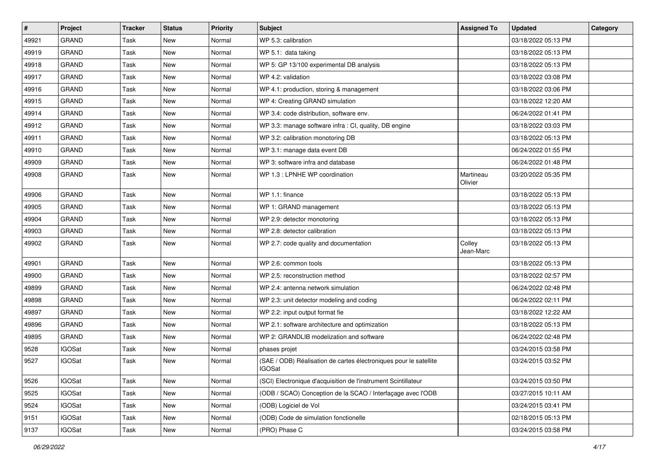| $\vert$ # | Project       | <b>Tracker</b> | <b>Status</b> | <b>Priority</b> | Subject                                                                            | <b>Assigned To</b>   | <b>Updated</b>      | Category |
|-----------|---------------|----------------|---------------|-----------------|------------------------------------------------------------------------------------|----------------------|---------------------|----------|
| 49921     | <b>GRAND</b>  | Task           | New           | Normal          | WP 5.3: calibration                                                                |                      | 03/18/2022 05:13 PM |          |
| 49919     | <b>GRAND</b>  | Task           | <b>New</b>    | Normal          | WP 5.1: data taking                                                                |                      | 03/18/2022 05:13 PM |          |
| 49918     | <b>GRAND</b>  | Task           | <b>New</b>    | Normal          | WP 5: GP 13/100 experimental DB analysis                                           |                      | 03/18/2022 05:13 PM |          |
| 49917     | <b>GRAND</b>  | Task           | New           | Normal          | WP 4.2: validation                                                                 |                      | 03/18/2022 03:08 PM |          |
| 49916     | <b>GRAND</b>  | Task           | <b>New</b>    | Normal          | WP 4.1: production, storing & management                                           |                      | 03/18/2022 03:06 PM |          |
| 49915     | <b>GRAND</b>  | Task           | <b>New</b>    | Normal          | WP 4: Creating GRAND simulation                                                    |                      | 03/18/2022 12:20 AM |          |
| 49914     | <b>GRAND</b>  | Task           | <b>New</b>    | Normal          | WP 3.4: code distribution, software env.                                           |                      | 06/24/2022 01:41 PM |          |
| 49912     | <b>GRAND</b>  | Task           | New           | Normal          | WP 3.3: manage software infra : CI, quality, DB engine                             |                      | 03/18/2022 03:03 PM |          |
| 49911     | <b>GRAND</b>  | Task           | New           | Normal          | WP 3.2: calibration monotoring DB                                                  |                      | 03/18/2022 05:13 PM |          |
| 49910     | <b>GRAND</b>  | Task           | <b>New</b>    | Normal          | WP 3.1: manage data event DB                                                       |                      | 06/24/2022 01:55 PM |          |
| 49909     | <b>GRAND</b>  | Task           | <b>New</b>    | Normal          | WP 3: software infra and database                                                  |                      | 06/24/2022 01:48 PM |          |
| 49908     | <b>GRAND</b>  | Task           | New           | Normal          | WP 1.3 : LPNHE WP coordination                                                     | Martineau<br>Olivier | 03/20/2022 05:35 PM |          |
| 49906     | <b>GRAND</b>  | Task           | <b>New</b>    | Normal          | WP 1.1: finance                                                                    |                      | 03/18/2022 05:13 PM |          |
| 49905     | <b>GRAND</b>  | Task           | <b>New</b>    | Normal          | WP 1: GRAND management                                                             |                      | 03/18/2022 05:13 PM |          |
| 49904     | <b>GRAND</b>  | Task           | <b>New</b>    | Normal          | WP 2.9: detector monotoring                                                        |                      | 03/18/2022 05:13 PM |          |
| 49903     | <b>GRAND</b>  | Task           | New           | Normal          | WP 2.8: detector calibration                                                       |                      | 03/18/2022 05:13 PM |          |
| 49902     | <b>GRAND</b>  | Task           | <b>New</b>    | Normal          | WP 2.7: code quality and documentation                                             | Colley<br>Jean-Marc  | 03/18/2022 05:13 PM |          |
| 49901     | <b>GRAND</b>  | Task           | <b>New</b>    | Normal          | WP 2.6: common tools                                                               |                      | 03/18/2022 05:13 PM |          |
| 49900     | <b>GRAND</b>  | Task           | <b>New</b>    | Normal          | WP 2.5: reconstruction method                                                      |                      | 03/18/2022 02:57 PM |          |
| 49899     | <b>GRAND</b>  | Task           | New           | Normal          | WP 2.4: antenna network simulation                                                 |                      | 06/24/2022 02:48 PM |          |
| 49898     | <b>GRAND</b>  | Task           | New           | Normal          | WP 2.3: unit detector modeling and coding                                          |                      | 06/24/2022 02:11 PM |          |
| 49897     | <b>GRAND</b>  | Task           | <b>New</b>    | Normal          | WP 2.2: input output format fie                                                    |                      | 03/18/2022 12:22 AM |          |
| 49896     | <b>GRAND</b>  | Task           | New           | Normal          | WP 2.1: software architecture and optimization                                     |                      | 03/18/2022 05:13 PM |          |
| 49895     | <b>GRAND</b>  | Task           | <b>New</b>    | Normal          | WP 2: GRANDLIB modelization and software                                           |                      | 06/24/2022 02:48 PM |          |
| 9528      | <b>IGOSat</b> | Task           | <b>New</b>    | Normal          | phases projet                                                                      |                      | 03/24/2015 03:58 PM |          |
| 9527      | <b>IGOSat</b> | Task           | <b>New</b>    | Normal          | (SAE / ODB) Réalisation de cartes électroniques pour le satellite<br><b>IGOSat</b> |                      | 03/24/2015 03:52 PM |          |
| 9526      | <b>IGOSat</b> | Task           | New           | Normal          | (SCI) Electronique d'acquisition de l'instrument Scintillateur                     |                      | 03/24/2015 03:50 PM |          |
| 9525      | <b>IGOSat</b> | Task           | New           | Normal          | (ODB / SCAO) Conception de la SCAO / Interfaçage avec l'ODB                        |                      | 03/27/2015 10:11 AM |          |
| 9524      | <b>IGOSat</b> | Task           | New           | Normal          | (ODB) Logiciel de Vol                                                              |                      | 03/24/2015 03:41 PM |          |
| 9151      | <b>IGOSat</b> | Task           | New           | Normal          | (ODB) Code de simulation fonctionelle                                              |                      | 02/18/2015 05:13 PM |          |
| 9137      | <b>IGOSat</b> | Task           | New           | Normal          | (PRO) Phase C                                                                      |                      | 03/24/2015 03:58 PM |          |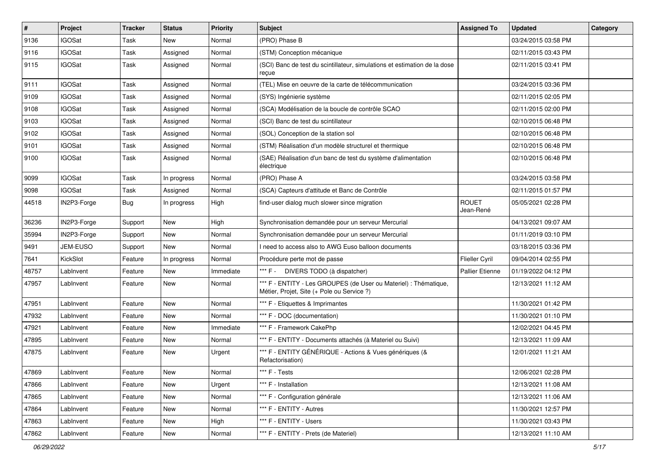| $\vert$ # | Project       | <b>Tracker</b> | <b>Status</b> | <b>Priority</b> | <b>Subject</b>                                                                                                 | <b>Assigned To</b>        | <b>Updated</b>      | Category |
|-----------|---------------|----------------|---------------|-----------------|----------------------------------------------------------------------------------------------------------------|---------------------------|---------------------|----------|
| 9136      | <b>IGOSat</b> | Task           | New           | Normal          | (PRO) Phase B                                                                                                  |                           | 03/24/2015 03:58 PM |          |
| 9116      | <b>IGOSat</b> | Task           | Assigned      | Normal          | (STM) Conception mécanique                                                                                     |                           | 02/11/2015 03:43 PM |          |
| 9115      | <b>IGOSat</b> | Task           | Assigned      | Normal          | (SCI) Banc de test du scintillateur, simulations et estimation de la dose<br>reçue                             |                           | 02/11/2015 03:41 PM |          |
| 9111      | <b>IGOSat</b> | Task           | Assigned      | Normal          | (TEL) Mise en oeuvre de la carte de télécommunication                                                          |                           | 03/24/2015 03:36 PM |          |
| 9109      | <b>IGOSat</b> | Task           | Assigned      | Normal          | (SYS) Ingénierie système                                                                                       |                           | 02/11/2015 02:05 PM |          |
| 9108      | <b>IGOSat</b> | Task           | Assigned      | Normal          | (SCA) Modélisation de la boucle de contrôle SCAO                                                               |                           | 02/11/2015 02:00 PM |          |
| 9103      | <b>IGOSat</b> | Task           | Assigned      | Normal          | (SCI) Banc de test du scintillateur                                                                            |                           | 02/10/2015 06:48 PM |          |
| 9102      | <b>IGOSat</b> | Task           | Assigned      | Normal          | (SOL) Conception de la station sol                                                                             |                           | 02/10/2015 06:48 PM |          |
| 9101      | <b>IGOSat</b> | Task           | Assigned      | Normal          | (STM) Réalisation d'un modèle structurel et thermique                                                          |                           | 02/10/2015 06:48 PM |          |
| 9100      | <b>IGOSat</b> | Task           | Assigned      | Normal          | (SAE) Réalisation d'un banc de test du système d'alimentation<br>électrique                                    |                           | 02/10/2015 06:48 PM |          |
| 9099      | <b>IGOSat</b> | Task           | In progress   | Normal          | (PRO) Phase A                                                                                                  |                           | 03/24/2015 03:58 PM |          |
| 9098      | <b>IGOSat</b> | Task           | Assigned      | Normal          | (SCA) Capteurs d'attitude et Banc de Contrôle                                                                  |                           | 02/11/2015 01:57 PM |          |
| 44518     | IN2P3-Forge   | Bug            | In progress   | High            | find-user dialog much slower since migration                                                                   | <b>ROUET</b><br>Jean-René | 05/05/2021 02:28 PM |          |
| 36236     | IN2P3-Forge   | Support        | <b>New</b>    | High            | Synchronisation demandée pour un serveur Mercurial                                                             |                           | 04/13/2021 09:07 AM |          |
| 35994     | IN2P3-Forge   | Support        | <b>New</b>    | Normal          | Synchronisation demandée pour un serveur Mercurial                                                             |                           | 01/11/2019 03:10 PM |          |
| 9491      | JEM-EUSO      | Support        | New           | Normal          | I need to access also to AWG Euso balloon documents                                                            |                           | 03/18/2015 03:36 PM |          |
| 7641      | KickSlot      | Feature        | In progress   | Normal          | Procédure perte mot de passe                                                                                   | Flieller Cyril            | 09/04/2014 02:55 PM |          |
| 48757     | LabInvent     | Feature        | New           | Immediate       | *** F - DIVERS TODO (à dispatcher)                                                                             | <b>Pallier Etienne</b>    | 01/19/2022 04:12 PM |          |
| 47957     | LabInvent     | Feature        | <b>New</b>    | Normal          | *** F - ENTITY - Les GROUPES (de User ou Materiel) : Thématique,<br>Métier, Projet, Site (+ Pole ou Service ?) |                           | 12/13/2021 11:12 AM |          |
| 47951     | LabInvent     | Feature        | New           | Normal          | *** F - Etiquettes & Imprimantes                                                                               |                           | 11/30/2021 01:42 PM |          |
| 47932     | LabInvent     | Feature        | <b>New</b>    | Normal          | *** F - DOC (documentation)                                                                                    |                           | 11/30/2021 01:10 PM |          |
| 47921     | LabInvent     | Feature        | <b>New</b>    | Immediate       | *** F - Framework CakePhp                                                                                      |                           | 12/02/2021 04:45 PM |          |
| 47895     | LabInvent     | Feature        | New           | Normal          | *** F - ENTITY - Documents attachés (à Materiel ou Suivi)                                                      |                           | 12/13/2021 11:09 AM |          |
| 47875     | LabInvent     | Feature        | New           | Urgent          | *** F - ENTITY GÉNÉRIQUE - Actions & Vues génériques (&<br>Refactorisation)                                    |                           | 12/01/2021 11:21 AM |          |
| 47869     | Lablnvent     | Feature        | New           | Normal          | *** F - Tests                                                                                                  |                           | 12/06/2021 02:28 PM |          |
| 47866     | LabInvent     | Feature        | New           | Urgent          | *** F - Installation                                                                                           |                           | 12/13/2021 11:08 AM |          |
| 47865     | LabInvent     | Feature        | New           | Normal          | *** F - Configuration générale                                                                                 |                           | 12/13/2021 11:06 AM |          |
| 47864     | LabInvent     | Feature        | New           | Normal          | *** F - ENTITY - Autres                                                                                        |                           | 11/30/2021 12:57 PM |          |
| 47863     | LabInvent     | Feature        | New           | High            | *** F - ENTITY - Users                                                                                         |                           | 11/30/2021 03:43 PM |          |
| 47862     | LabInvent     | Feature        | New           | Normal          | *** F - ENTITY - Prets (de Materiel)                                                                           |                           | 12/13/2021 11:10 AM |          |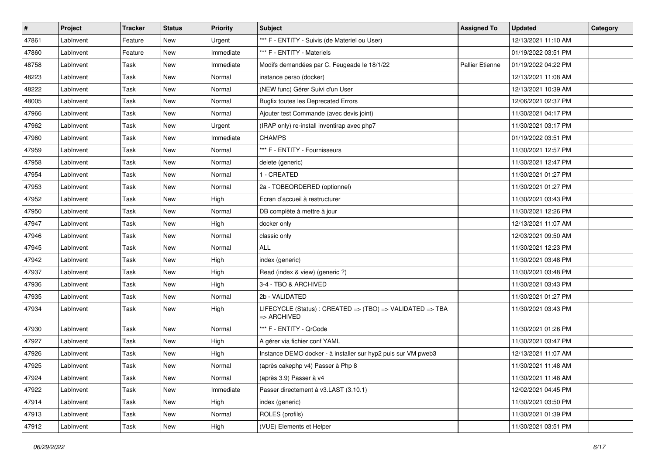| $\sharp$ | Project   | <b>Tracker</b> | <b>Status</b> | <b>Priority</b> | <b>Subject</b>                                                           | <b>Assigned To</b>     | <b>Updated</b>      | Category |
|----------|-----------|----------------|---------------|-----------------|--------------------------------------------------------------------------|------------------------|---------------------|----------|
| 47861    | LabInvent | Feature        | New           | Urgent          | *** F - ENTITY - Suivis (de Materiel ou User)                            |                        | 12/13/2021 11:10 AM |          |
| 47860    | LabInvent | Feature        | <b>New</b>    | Immediate       | *** F - ENTITY - Materiels                                               |                        | 01/19/2022 03:51 PM |          |
| 48758    | LabInvent | Task           | New           | Immediate       | Modifs demandées par C. Feugeade le 18/1/22                              | <b>Pallier Etienne</b> | 01/19/2022 04:22 PM |          |
| 48223    | LabInvent | Task           | New           | Normal          | instance perso (docker)                                                  |                        | 12/13/2021 11:08 AM |          |
| 48222    | LabInvent | Task           | <b>New</b>    | Normal          | (NEW func) Gérer Suivi d'un User                                         |                        | 12/13/2021 10:39 AM |          |
| 48005    | LabInvent | Task           | <b>New</b>    | Normal          | <b>Bugfix toutes les Deprecated Errors</b>                               |                        | 12/06/2021 02:37 PM |          |
| 47966    | LabInvent | Task           | <b>New</b>    | Normal          | Ajouter test Commande (avec devis joint)                                 |                        | 11/30/2021 04:17 PM |          |
| 47962    | LabInvent | Task           | New           | Urgent          | (IRAP only) re-install inventirap avec php7                              |                        | 11/30/2021 03:17 PM |          |
| 47960    | LabInvent | Task           | New           | Immediate       | <b>CHAMPS</b>                                                            |                        | 01/19/2022 03:51 PM |          |
| 47959    | LabInvent | Task           | <b>New</b>    | Normal          | *** F - ENTITY - Fournisseurs                                            |                        | 11/30/2021 12:57 PM |          |
| 47958    | LabInvent | Task           | <b>New</b>    | Normal          | delete (generic)                                                         |                        | 11/30/2021 12:47 PM |          |
| 47954    | LabInvent | Task           | <b>New</b>    | Normal          | 1 - CREATED                                                              |                        | 11/30/2021 01:27 PM |          |
| 47953    | LabInvent | Task           | New           | Normal          | 2a - TOBEORDERED (optionnel)                                             |                        | 11/30/2021 01:27 PM |          |
| 47952    | LabInvent | Task           | New           | High            | Ecran d'accueil à restructurer                                           |                        | 11/30/2021 03:43 PM |          |
| 47950    | LabInvent | Task           | <b>New</b>    | Normal          | DB complète à mettre à jour                                              |                        | 11/30/2021 12:26 PM |          |
| 47947    | LabInvent | Task           | New           | High            | docker only                                                              |                        | 12/13/2021 11:07 AM |          |
| 47946    | LabInvent | Task           | New           | Normal          | classic only                                                             |                        | 12/03/2021 09:50 AM |          |
| 47945    | LabInvent | Task           | New           | Normal          | <b>ALL</b>                                                               |                        | 11/30/2021 12:23 PM |          |
| 47942    | LabInvent | Task           | New           | High            | index (generic)                                                          |                        | 11/30/2021 03:48 PM |          |
| 47937    | LabInvent | Task           | <b>New</b>    | High            | Read (index & view) (generic ?)                                          |                        | 11/30/2021 03:48 PM |          |
| 47936    | LabInvent | Task           | New           | High            | 3-4 - TBO & ARCHIVED                                                     |                        | 11/30/2021 03:43 PM |          |
| 47935    | LabInvent | Task           | New           | Normal          | 2b - VALIDATED                                                           |                        | 11/30/2021 01:27 PM |          |
| 47934    | LabInvent | Task           | <b>New</b>    | High            | LIFECYCLE (Status) : CREATED => (TBO) => VALIDATED => TBA<br>=> ARCHIVED |                        | 11/30/2021 03:43 PM |          |
| 47930    | LabInvent | Task           | <b>New</b>    | Normal          | *** F - ENTITY - QrCode                                                  |                        | 11/30/2021 01:26 PM |          |
| 47927    | LabInvent | Task           | New           | High            | A gérer via fichier conf YAML                                            |                        | 11/30/2021 03:47 PM |          |
| 47926    | LabInvent | Task           | <b>New</b>    | High            | Instance DEMO docker - à installer sur hyp2 puis sur VM pweb3            |                        | 12/13/2021 11:07 AM |          |
| 47925    | LabInvent | Task           | <b>New</b>    | Normal          | (après cakephp v4) Passer à Php 8                                        |                        | 11/30/2021 11:48 AM |          |
| 47924    | LabInvent | Task           | New           | Normal          | (après 3.9) Passer à v4                                                  |                        | 11/30/2021 11:48 AM |          |
| 47922    | LabInvent | Task           | New           | Immediate       | Passer directement à v3.LAST (3.10.1)                                    |                        | 12/02/2021 04:45 PM |          |
| 47914    | LabInvent | Task           | New           | High            | index (generic)                                                          |                        | 11/30/2021 03:50 PM |          |
| 47913    | LabInvent | Task           | New           | Normal          | ROLES (profils)                                                          |                        | 11/30/2021 01:39 PM |          |
| 47912    | LabInvent | Task           | New           | High            | (VUE) Elements et Helper                                                 |                        | 11/30/2021 03:51 PM |          |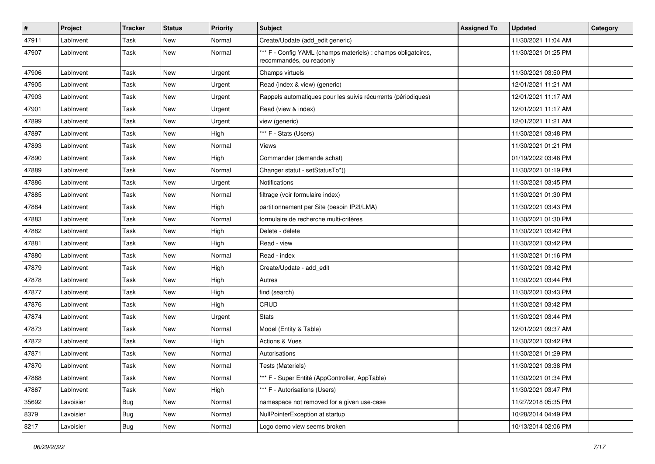| $\pmb{\#}$ | Project   | <b>Tracker</b> | <b>Status</b> | <b>Priority</b> | Subject                                                                                   | <b>Assigned To</b> | <b>Updated</b>      | Category |
|------------|-----------|----------------|---------------|-----------------|-------------------------------------------------------------------------------------------|--------------------|---------------------|----------|
| 47911      | LabInvent | Task           | <b>New</b>    | Normal          | Create/Update (add_edit generic)                                                          |                    | 11/30/2021 11:04 AM |          |
| 47907      | LabInvent | Task           | New           | Normal          | *** F - Config YAML (champs materiels) : champs obligatoires,<br>recommandés, ou readonly |                    | 11/30/2021 01:25 PM |          |
| 47906      | LabInvent | Task           | New           | Urgent          | Champs virtuels                                                                           |                    | 11/30/2021 03:50 PM |          |
| 47905      | LabInvent | Task           | New           | Urgent          | Read (index & view) (generic)                                                             |                    | 12/01/2021 11:21 AM |          |
| 47903      | LabInvent | Task           | <b>New</b>    | Urgent          | Rappels automatiques pour les suivis récurrents (périodiques)                             |                    | 12/01/2021 11:17 AM |          |
| 47901      | LabInvent | Task           | <b>New</b>    | Urgent          | Read (view & index)                                                                       |                    | 12/01/2021 11:17 AM |          |
| 47899      | LabInvent | Task           | New           | Urgent          | view (generic)                                                                            |                    | 12/01/2021 11:21 AM |          |
| 47897      | LabInvent | Task           | <b>New</b>    | High            | *** F - Stats (Users)                                                                     |                    | 11/30/2021 03:48 PM |          |
| 47893      | LabInvent | Task           | New           | Normal          | Views                                                                                     |                    | 11/30/2021 01:21 PM |          |
| 47890      | LabInvent | Task           | New           | High            | Commander (demande achat)                                                                 |                    | 01/19/2022 03:48 PM |          |
| 47889      | LabInvent | Task           | <b>New</b>    | Normal          | Changer statut - setStatusTo*()                                                           |                    | 11/30/2021 01:19 PM |          |
| 47886      | LabInvent | Task           | New           | Urgent          | <b>Notifications</b>                                                                      |                    | 11/30/2021 03:45 PM |          |
| 47885      | LabInvent | Task           | <b>New</b>    | Normal          | filtrage (voir formulaire index)                                                          |                    | 11/30/2021 01:30 PM |          |
| 47884      | LabInvent | Task           | New           | High            | partitionnement par Site (besoin IP2I/LMA)                                                |                    | 11/30/2021 03:43 PM |          |
| 47883      | LabInvent | Task           | New           | Normal          | formulaire de recherche multi-critères                                                    |                    | 11/30/2021 01:30 PM |          |
| 47882      | LabInvent | Task           | <b>New</b>    | High            | Delete - delete                                                                           |                    | 11/30/2021 03:42 PM |          |
| 47881      | LabInvent | Task           | New           | High            | Read - view                                                                               |                    | 11/30/2021 03:42 PM |          |
| 47880      | LabInvent | Task           | <b>New</b>    | Normal          | Read - index                                                                              |                    | 11/30/2021 01:16 PM |          |
| 47879      | LabInvent | Task           | <b>New</b>    | High            | Create/Update - add_edit                                                                  |                    | 11/30/2021 03:42 PM |          |
| 47878      | LabInvent | Task           | New           | High            | Autres                                                                                    |                    | 11/30/2021 03:44 PM |          |
| 47877      | LabInvent | Task           | New           | High            | find (search)                                                                             |                    | 11/30/2021 03:43 PM |          |
| 47876      | LabInvent | Task           | New           | High            | CRUD                                                                                      |                    | 11/30/2021 03:42 PM |          |
| 47874      | LabInvent | Task           | <b>New</b>    | Urgent          | <b>Stats</b>                                                                              |                    | 11/30/2021 03:44 PM |          |
| 47873      | LabInvent | Task           | <b>New</b>    | Normal          | Model (Entity & Table)                                                                    |                    | 12/01/2021 09:37 AM |          |
| 47872      | Lablnvent | Task           | New           | High            | Actions & Vues                                                                            |                    | 11/30/2021 03:42 PM |          |
| 47871      | LabInvent | Task           | <b>New</b>    | Normal          | Autorisations                                                                             |                    | 11/30/2021 01:29 PM |          |
| 47870      | LabInvent | Task           | New           | Normal          | Tests (Materiels)                                                                         |                    | 11/30/2021 03:38 PM |          |
| 47868      | LabInvent | Task           | New           | Normal          | *** F - Super Entité (AppController, AppTable)                                            |                    | 11/30/2021 01:34 PM |          |
| 47867      | LabInvent | Task           | New           | High            | *** F - Autorisations (Users)                                                             |                    | 11/30/2021 03:47 PM |          |
| 35692      | Lavoisier | <b>Bug</b>     | New           | Normal          | namespace not removed for a given use-case                                                |                    | 11/27/2018 05:35 PM |          |
| 8379       | Lavoisier | <b>Bug</b>     | New           | Normal          | NullPointerException at startup                                                           |                    | 10/28/2014 04:49 PM |          |
| 8217       | Lavoisier | <b>Bug</b>     | New           | Normal          | Logo demo view seems broken                                                               |                    | 10/13/2014 02:06 PM |          |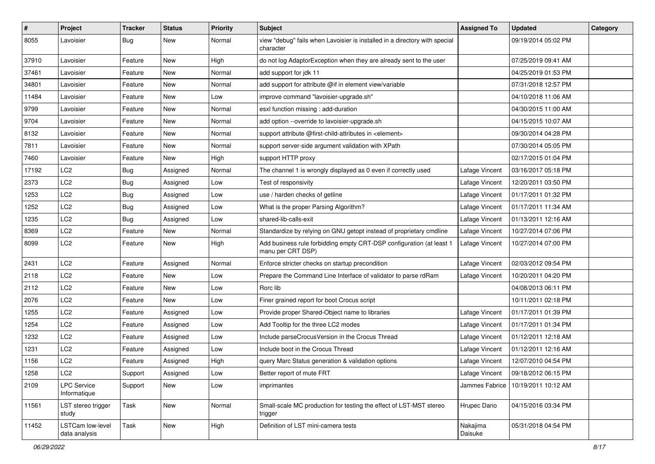| #     | Project                            | <b>Tracker</b> | <b>Status</b> | <b>Priority</b> | Subject                                                                                   | <b>Assigned To</b>  | <b>Updated</b>      | Category |
|-------|------------------------------------|----------------|---------------|-----------------|-------------------------------------------------------------------------------------------|---------------------|---------------------|----------|
| 8055  | Lavoisier                          | <b>Bug</b>     | New           | Normal          | view "debug" fails when Lavoisier is installed in a directory with special<br>character   |                     | 09/19/2014 05:02 PM |          |
| 37910 | Lavoisier                          | Feature        | New           | High            | do not log AdaptorException when they are already sent to the user                        |                     | 07/25/2019 09:41 AM |          |
| 37461 | Lavoisier                          | Feature        | New           | Normal          | add support for jdk 11                                                                    |                     | 04/25/2019 01:53 PM |          |
| 34801 | Lavoisier                          | Feature        | New           | Normal          | add support for attribute @if in element view/variable                                    |                     | 07/31/2018 12:57 PM |          |
| 11484 | Lavoisier                          | Feature        | New           | Low             | improve command "lavoisier-upgrade.sh"                                                    |                     | 04/10/2018 11:06 AM |          |
| 9799  | Lavoisier                          | Feature        | <b>New</b>    | Normal          | esxl function missing : add-duration                                                      |                     | 04/30/2015 11:00 AM |          |
| 9704  | Lavoisier                          | Feature        | New           | Normal          | add option --override to lavoisier-upgrade.sh                                             |                     | 04/15/2015 10:07 AM |          |
| 8132  | Lavoisier                          | Feature        | New           | Normal          | support attribute @first-child-attributes in <element></element>                          |                     | 09/30/2014 04:28 PM |          |
| 7811  | Lavoisier                          | Feature        | New           | Normal          | support server-side argument validation with XPath                                        |                     | 07/30/2014 05:05 PM |          |
| 7460  | Lavoisier                          | Feature        | New           | High            | support HTTP proxy                                                                        |                     | 02/17/2015 01:04 PM |          |
| 17192 | LC <sub>2</sub>                    | <b>Bug</b>     | Assigned      | Normal          | The channel 1 is wrongly displayed as 0 even if correctly used                            | Lafage Vincent      | 03/16/2017 05:18 PM |          |
| 2373  | LC <sub>2</sub>                    | <b>Bug</b>     | Assigned      | Low             | Test of responsivity                                                                      | Lafage Vincent      | 12/20/2011 03:50 PM |          |
| 1253  | LC <sub>2</sub>                    | <b>Bug</b>     | Assigned      | Low             | use / harden checks of getline                                                            | Lafage Vincent      | 01/17/2011 01:32 PM |          |
| 1252  | LC <sub>2</sub>                    | <b>Bug</b>     | Assigned      | Low             | What is the proper Parsing Algorithm?                                                     | Lafage Vincent      | 01/17/2011 11:34 AM |          |
| 1235  | LC2                                | <b>Bug</b>     | Assigned      | Low             | shared-lib-calls-exit                                                                     | Lafage Vincent      | 01/13/2011 12:16 AM |          |
| 8369  | LC <sub>2</sub>                    | Feature        | <b>New</b>    | Normal          | Standardize by relying on GNU getopt instead of proprietary cmdline                       | Lafage Vincent      | 10/27/2014 07:06 PM |          |
| 8099  | LC <sub>2</sub>                    | Feature        | New           | High            | Add business rule forbidding empty CRT-DSP configuration (at least 1<br>manu per CRT DSP) | Lafage Vincent      | 10/27/2014 07:00 PM |          |
| 2431  | LC <sub>2</sub>                    | Feature        | Assigned      | Normal          | Enforce stricter checks on startup precondition                                           | Lafage Vincent      | 02/03/2012 09:54 PM |          |
| 2118  | LC2                                | Feature        | New           | Low             | Prepare the Command Line Interface of validator to parse rdRam                            | Lafage Vincent      | 10/20/2011 04:20 PM |          |
| 2112  | LC <sub>2</sub>                    | Feature        | New           | Low             | Rorc lib                                                                                  |                     | 04/08/2013 06:11 PM |          |
| 2076  | LC <sub>2</sub>                    | Feature        | <b>New</b>    | Low             | Finer grained report for boot Crocus script                                               |                     | 10/11/2011 02:18 PM |          |
| 1255  | LC2                                | Feature        | Assigned      | Low             | Provide proper Shared-Object name to libraries                                            | Lafage Vincent      | 01/17/2011 01:39 PM |          |
| 1254  | LC <sub>2</sub>                    | Feature        | Assigned      | Low             | Add Tooltip for the three LC2 modes                                                       | Lafage Vincent      | 01/17/2011 01:34 PM |          |
| 1232  | LC <sub>2</sub>                    | Feature        | Assigned      | Low             | Include parseCrocusVersion in the Crocus Thread                                           | Lafage Vincent      | 01/12/2011 12:18 AM |          |
| 1231  | LC <sub>2</sub>                    | Feature        | Assigned      | Low             | Include boot in the Crocus Thread                                                         | Lafage Vincent      | 01/12/2011 12:16 AM |          |
| 1156  | LC <sub>2</sub>                    | Feature        | Assigned      | High            | query Marc Status generation & validation options                                         | Lafage Vincent      | 12/07/2010 04:54 PM |          |
| 1258  | LC2                                | Support        | Assigned      | Low             | Better report of mute FRT                                                                 | Lafage Vincent      | 09/18/2012 06:15 PM |          |
| 2109  | <b>LPC Service</b><br>Informatique | Support        | New           | Low             | imprimantes                                                                               | Jammes Fabrice      | 10/19/2011 10:12 AM |          |
| 11561 | LST stereo trigger<br>study        | Task           | New           | Normal          | Small-scale MC production for testing the effect of LST-MST stereo<br>trigger             | Hrupec Dario        | 04/15/2016 03:34 PM |          |
| 11452 | LSTCam low-level<br>data analysis  | Task           | New           | High            | Definition of LST mini-camera tests                                                       | Nakajima<br>Daisuke | 05/31/2018 04:54 PM |          |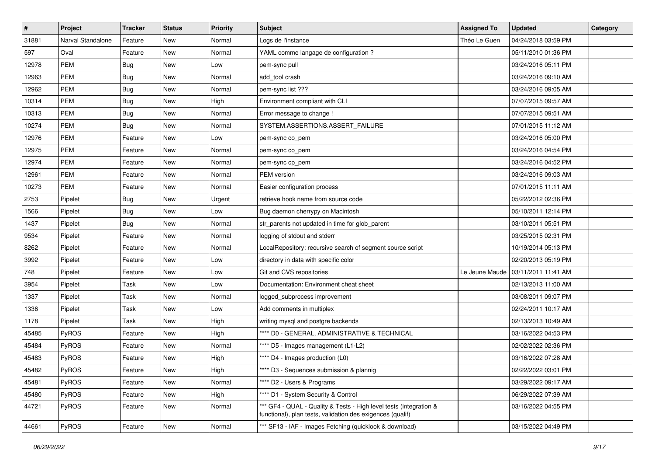| $\pmb{\#}$ | Project           | <b>Tracker</b> | <b>Status</b> | <b>Priority</b> | <b>Subject</b>                                                                                                                   | <b>Assigned To</b> | <b>Updated</b>      | Category |
|------------|-------------------|----------------|---------------|-----------------|----------------------------------------------------------------------------------------------------------------------------------|--------------------|---------------------|----------|
| 31881      | Narval Standalone | Feature        | New           | Normal          | Logs de l'instance                                                                                                               | Théo Le Guen       | 04/24/2018 03:59 PM |          |
| 597        | Oval              | Feature        | New           | Normal          | YAML comme langage de configuration ?                                                                                            |                    | 05/11/2010 01:36 PM |          |
| 12978      | <b>PEM</b>        | Bug            | New           | Low             | pem-sync pull                                                                                                                    |                    | 03/24/2016 05:11 PM |          |
| 12963      | <b>PEM</b>        | Bug            | New           | Normal          | add_tool crash                                                                                                                   |                    | 03/24/2016 09:10 AM |          |
| 12962      | <b>PEM</b>        | Bug            | New           | Normal          | pem-sync list ???                                                                                                                |                    | 03/24/2016 09:05 AM |          |
| 10314      | PEM               | Bug            | New           | High            | Environment compliant with CLI                                                                                                   |                    | 07/07/2015 09:57 AM |          |
| 10313      | <b>PEM</b>        | Bug            | <b>New</b>    | Normal          | Error message to change !                                                                                                        |                    | 07/07/2015 09:51 AM |          |
| 10274      | PEM               | Bug            | New           | Normal          | SYSTEM.ASSERTIONS.ASSERT_FAILURE                                                                                                 |                    | 07/01/2015 11:12 AM |          |
| 12976      | PEM               | Feature        | New           | Low             | pem-sync co_pem                                                                                                                  |                    | 03/24/2016 05:00 PM |          |
| 12975      | <b>PEM</b>        | Feature        | New           | Normal          | pem-sync co_pem                                                                                                                  |                    | 03/24/2016 04:54 PM |          |
| 12974      | PEM               | Feature        | New           | Normal          | pem-sync cp_pem                                                                                                                  |                    | 03/24/2016 04:52 PM |          |
| 12961      | <b>PEM</b>        | Feature        | New           | Normal          | PEM version                                                                                                                      |                    | 03/24/2016 09:03 AM |          |
| 10273      | <b>PEM</b>        | Feature        | New           | Normal          | Easier configuration process                                                                                                     |                    | 07/01/2015 11:11 AM |          |
| 2753       | Pipelet           | <b>Bug</b>     | <b>New</b>    | Urgent          | retrieve hook name from source code                                                                                              |                    | 05/22/2012 02:36 PM |          |
| 1566       | Pipelet           | Bug            | New           | Low             | Bug daemon cherrypy on Macintosh                                                                                                 |                    | 05/10/2011 12:14 PM |          |
| 1437       | Pipelet           | Bug            | New           | Normal          | str_parents not updated in time for glob_parent                                                                                  |                    | 03/10/2011 05:51 PM |          |
| 9534       | Pipelet           | Feature        | New           | Normal          | logging of stdout and stderr                                                                                                     |                    | 03/25/2015 02:31 PM |          |
| 8262       | Pipelet           | Feature        | New           | Normal          | LocalRepository: recursive search of segment source script                                                                       |                    | 10/19/2014 05:13 PM |          |
| 3992       | Pipelet           | Feature        | New           | Low             | directory in data with specific color                                                                                            |                    | 02/20/2013 05:19 PM |          |
| 748        | Pipelet           | Feature        | New           | Low             | Git and CVS repositories                                                                                                         | Le Jeune Maude     | 03/11/2011 11:41 AM |          |
| 3954       | Pipelet           | Task           | New           | Low             | Documentation: Environment cheat sheet                                                                                           |                    | 02/13/2013 11:00 AM |          |
| 1337       | Pipelet           | Task           | New           | Normal          | logged_subprocess improvement                                                                                                    |                    | 03/08/2011 09:07 PM |          |
| 1336       | Pipelet           | Task           | New           | Low             | Add comments in multiplex                                                                                                        |                    | 02/24/2011 10:17 AM |          |
| 1178       | Pipelet           | Task           | New           | High            | writing mysql and postgre backends                                                                                               |                    | 02/13/2013 10:49 AM |          |
| 45485      | PyROS             | Feature        | New           | High            | **** D0 - GENERAL, ADMINISTRATIVE & TECHNICAL                                                                                    |                    | 03/16/2022 04:53 PM |          |
| 45484      | PyROS             | Feature        | New           | Normal          | **** D5 - Images management (L1-L2)                                                                                              |                    | 02/02/2022 02:36 PM |          |
| 45483      | PyROS             | Feature        | New           | High            | **** D4 - Images production (L0)                                                                                                 |                    | 03/16/2022 07:28 AM |          |
| 45482      | PyROS             | Feature        | New           | High            | **** D3 - Sequences submission & plannig                                                                                         |                    | 02/22/2022 03:01 PM |          |
| 45481      | PyROS             | Feature        | New           | Normal          | **** D2 - Users & Programs                                                                                                       |                    | 03/29/2022 09:17 AM |          |
| 45480      | PyROS             | Feature        | New           | High            | **** D1 - System Security & Control                                                                                              |                    | 06/29/2022 07:39 AM |          |
| 44721      | PyROS             | Feature        | New           | Normal          | *** GF4 - QUAL - Quality & Tests - High level tests (integration &<br>functional), plan tests, validation des exigences (qualif) |                    | 03/16/2022 04:55 PM |          |
| 44661      | PyROS             | Feature        | New           | Normal          | *** SF13 - IAF - Images Fetching (quicklook & download)                                                                          |                    | 03/15/2022 04:49 PM |          |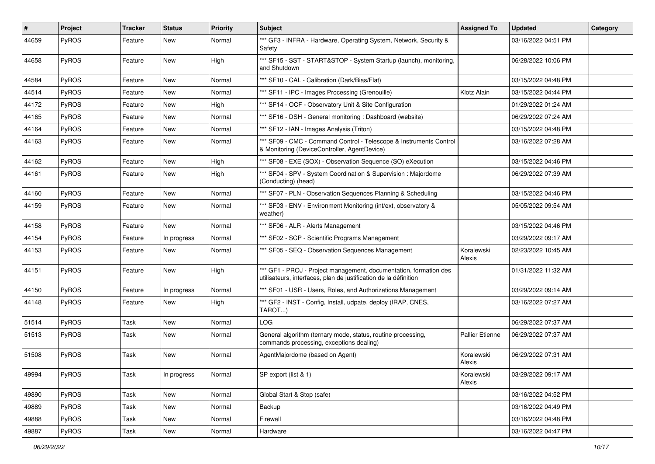| $\vert$ # | Project      | <b>Tracker</b> | <b>Status</b> | <b>Priority</b> | <b>Subject</b>                                                                                                                        | <b>Assigned To</b>   | <b>Updated</b>      | Category |
|-----------|--------------|----------------|---------------|-----------------|---------------------------------------------------------------------------------------------------------------------------------------|----------------------|---------------------|----------|
| 44659     | PyROS        | Feature        | New           | Normal          | *** GF3 - INFRA - Hardware, Operating System, Network, Security &<br>Safety                                                           |                      | 03/16/2022 04:51 PM |          |
| 44658     | PyROS        | Feature        | New           | High            | *** SF15 - SST - START&STOP - System Startup (launch), monitoring,<br>and Shutdown                                                    |                      | 06/28/2022 10:06 PM |          |
| 44584     | PyROS        | Feature        | New           | Normal          | *** SF10 - CAL - Calibration (Dark/Bias/Flat)                                                                                         |                      | 03/15/2022 04:48 PM |          |
| 44514     | PyROS        | Feature        | New           | Normal          | *** SF11 - IPC - Images Processing (Grenouille)                                                                                       | Klotz Alain          | 03/15/2022 04:44 PM |          |
| 44172     | PyROS        | Feature        | New           | High            | *** SF14 - OCF - Observatory Unit & Site Configuration                                                                                |                      | 01/29/2022 01:24 AM |          |
| 44165     | PyROS        | Feature        | New           | Normal          | *** SF16 - DSH - General monitoring : Dashboard (website)                                                                             |                      | 06/29/2022 07:24 AM |          |
| 44164     | PyROS        | Feature        | New           | Normal          | *** SF12 - IAN - Images Analysis (Triton)                                                                                             |                      | 03/15/2022 04:48 PM |          |
| 44163     | PyROS        | Feature        | New           | Normal          | *** SF09 - CMC - Command Control - Telescope & Instruments Control<br>& Monitoring (DeviceController, AgentDevice)                    |                      | 03/16/2022 07:28 AM |          |
| 44162     | PyROS        | Feature        | New           | High            | *** SF08 - EXE (SOX) - Observation Sequence (SO) eXecution                                                                            |                      | 03/15/2022 04:46 PM |          |
| 44161     | PyROS        | Feature        | New           | High            | *** SF04 - SPV - System Coordination & Supervision : Majordome<br>(Conducting) (head)                                                 |                      | 06/29/2022 07:39 AM |          |
| 44160     | PyROS        | Feature        | New           | Normal          | *** SF07 - PLN - Observation Sequences Planning & Scheduling                                                                          |                      | 03/15/2022 04:46 PM |          |
| 44159     | PyROS        | Feature        | New           | Normal          | *** SF03 - ENV - Environment Monitoring (int/ext, observatory &<br>weather)                                                           |                      | 05/05/2022 09:54 AM |          |
| 44158     | PyROS        | Feature        | New           | Normal          | *** SF06 - ALR - Alerts Management                                                                                                    |                      | 03/15/2022 04:46 PM |          |
| 44154     | <b>PyROS</b> | Feature        | In progress   | Normal          | *** SF02 - SCP - Scientific Programs Management                                                                                       |                      | 03/29/2022 09:17 AM |          |
| 44153     | PyROS        | Feature        | New           | Normal          | *** SF05 - SEQ - Observation Sequences Management                                                                                     | Koralewski<br>Alexis | 02/23/2022 10:45 AM |          |
| 44151     | PyROS        | Feature        | New           | High            | *** GF1 - PROJ - Project management, documentation, formation des<br>utilisateurs, interfaces, plan de justification de la définition |                      | 01/31/2022 11:32 AM |          |
| 44150     | PyROS        | Feature        | In progress   | Normal          | *** SF01 - USR - Users, Roles, and Authorizations Management                                                                          |                      | 03/29/2022 09:14 AM |          |
| 44148     | PyROS        | Feature        | New           | High            | *** GF2 - INST - Config, Install, udpate, deploy (IRAP, CNES,<br>TAROT)                                                               |                      | 03/16/2022 07:27 AM |          |
| 51514     | PyROS        | Task           | New           | Normal          | <b>LOG</b>                                                                                                                            |                      | 06/29/2022 07:37 AM |          |
| 51513     | PyROS        | Task           | New           | Normal          | General algorithm (ternary mode, status, routine processing,<br>commands processing, exceptions dealing)                              | Pallier Etienne      | 06/29/2022 07:37 AM |          |
| 51508     | <b>PyROS</b> | Task           | New           | Normal          | AgentMajordome (based on Agent)                                                                                                       | Koralewski<br>Alexis | 06/29/2022 07:31 AM |          |
| 49994     | PyROS        | Task           | In progress   | Normal          | SP export (list & 1)                                                                                                                  | Koralewski<br>Alexis | 03/29/2022 09:17 AM |          |
| 49890     | PyROS        | Task           | New           | Normal          | Global Start & Stop (safe)                                                                                                            |                      | 03/16/2022 04:52 PM |          |
| 49889     | PyROS        | Task           | New           | Normal          | Backup                                                                                                                                |                      | 03/16/2022 04:49 PM |          |
| 49888     | PyROS        | Task           | New           | Normal          | Firewall                                                                                                                              |                      | 03/16/2022 04:48 PM |          |
| 49887     | PyROS        | Task           | New           | Normal          | Hardware                                                                                                                              |                      | 03/16/2022 04:47 PM |          |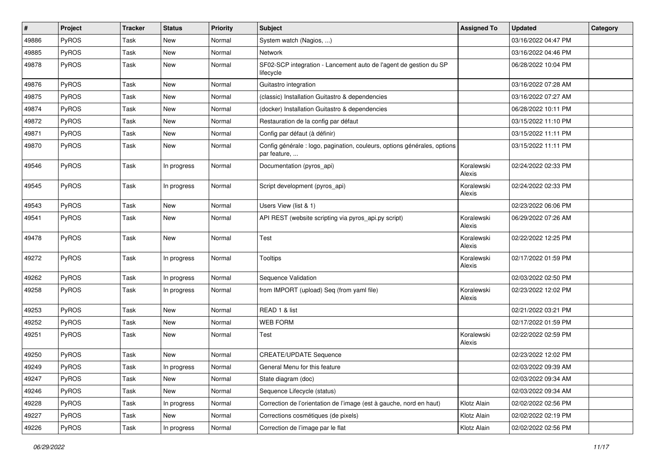| $\sharp$ | Project | <b>Tracker</b> | <b>Status</b> | <b>Priority</b> | Subject                                                                                  | <b>Assigned To</b>   | <b>Updated</b>      | Category |
|----------|---------|----------------|---------------|-----------------|------------------------------------------------------------------------------------------|----------------------|---------------------|----------|
| 49886    | PyROS   | Task           | <b>New</b>    | Normal          | System watch (Nagios, )                                                                  |                      | 03/16/2022 04:47 PM |          |
| 49885    | PyROS   | Task           | <b>New</b>    | Normal          | <b>Network</b>                                                                           |                      | 03/16/2022 04:46 PM |          |
| 49878    | PyROS   | Task           | New           | Normal          | SF02-SCP integration - Lancement auto de l'agent de gestion du SP<br>lifecycle           |                      | 06/28/2022 10:04 PM |          |
| 49876    | PyROS   | Task           | <b>New</b>    | Normal          | Guitastro integration                                                                    |                      | 03/16/2022 07:28 AM |          |
| 49875    | PyROS   | Task           | <b>New</b>    | Normal          | (classic) Installation Guitastro & dependencies                                          |                      | 03/16/2022 07:27 AM |          |
| 49874    | PyROS   | Task           | New           | Normal          | (docker) Installation Guitastro & dependencies                                           |                      | 06/28/2022 10:11 PM |          |
| 49872    | PyROS   | Task           | New           | Normal          | Restauration de la config par défaut                                                     |                      | 03/15/2022 11:10 PM |          |
| 49871    | PyROS   | Task           | New           | Normal          | Config par défaut (à définir)                                                            |                      | 03/15/2022 11:11 PM |          |
| 49870    | PyROS   | Task           | <b>New</b>    | Normal          | Config générale : logo, pagination, couleurs, options générales, options<br>par feature, |                      | 03/15/2022 11:11 PM |          |
| 49546    | PyROS   | Task           | In progress   | Normal          | Documentation (pyros_api)                                                                | Koralewski<br>Alexis | 02/24/2022 02:33 PM |          |
| 49545    | PyROS   | Task           | In progress   | Normal          | Script development (pyros_api)                                                           | Koralewski<br>Alexis | 02/24/2022 02:33 PM |          |
| 49543    | PyROS   | Task           | <b>New</b>    | Normal          | Users View (list & 1)                                                                    |                      | 02/23/2022 06:06 PM |          |
| 49541    | PyROS   | Task           | <b>New</b>    | Normal          | API REST (website scripting via pyros_api.py script)                                     | Koralewski<br>Alexis | 06/29/2022 07:26 AM |          |
| 49478    | PyROS   | Task           | <b>New</b>    | Normal          | Test                                                                                     | Koralewski<br>Alexis | 02/22/2022 12:25 PM |          |
| 49272    | PyROS   | Task           | In progress   | Normal          | Tooltips                                                                                 | Koralewski<br>Alexis | 02/17/2022 01:59 PM |          |
| 49262    | PyROS   | Task           | In progress   | Normal          | Sequence Validation                                                                      |                      | 02/03/2022 02:50 PM |          |
| 49258    | PyROS   | Task           | In progress   | Normal          | from IMPORT (upload) Seq (from yaml file)                                                | Koralewski<br>Alexis | 02/23/2022 12:02 PM |          |
| 49253    | PyROS   | Task           | <b>New</b>    | Normal          | READ 1 & list                                                                            |                      | 02/21/2022 03:21 PM |          |
| 49252    | PyROS   | Task           | New           | Normal          | <b>WEB FORM</b>                                                                          |                      | 02/17/2022 01:59 PM |          |
| 49251    | PyROS   | Task           | New           | Normal          | Test                                                                                     | Koralewski<br>Alexis | 02/22/2022 02:59 PM |          |
| 49250    | PyROS   | Task           | New           | Normal          | <b>CREATE/UPDATE Sequence</b>                                                            |                      | 02/23/2022 12:02 PM |          |
| 49249    | PyROS   | Task           | In progress   | Normal          | General Menu for this feature                                                            |                      | 02/03/2022 09:39 AM |          |
| 49247    | PyROS   | Task           | New           | Normal          | State diagram (doc)                                                                      |                      | 02/03/2022 09:34 AM |          |
| 49246    | PyROS   | Task           | New           | Normal          | Sequence Lifecycle (status)                                                              |                      | 02/03/2022 09:34 AM |          |
| 49228    | PyROS   | Task           | In progress   | Normal          | Correction de l'orientation de l'image (est à gauche, nord en haut)                      | Klotz Alain          | 02/02/2022 02:56 PM |          |
| 49227    | PyROS   | Task           | New           | Normal          | Corrections cosmétiques (de pixels)                                                      | Klotz Alain          | 02/02/2022 02:19 PM |          |
| 49226    | PyROS   | Task           | In progress   | Normal          | Correction de l'image par le flat                                                        | Klotz Alain          | 02/02/2022 02:56 PM |          |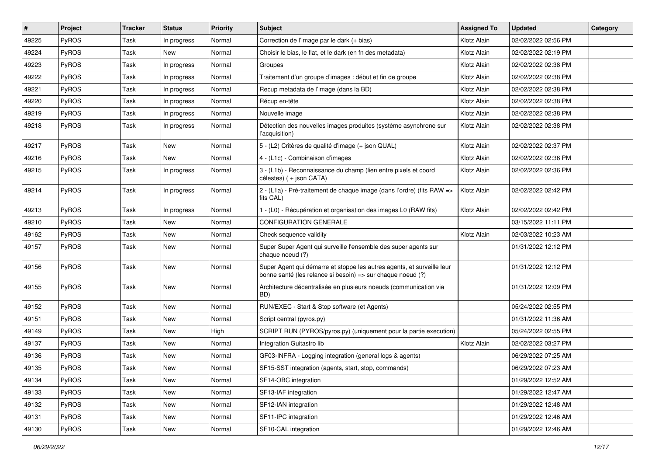| #     | Project      | <b>Tracker</b> | <b>Status</b> | <b>Priority</b> | <b>Subject</b>                                                                                                                        | <b>Assigned To</b> | <b>Updated</b>      | Category |
|-------|--------------|----------------|---------------|-----------------|---------------------------------------------------------------------------------------------------------------------------------------|--------------------|---------------------|----------|
| 49225 | PyROS        | Task           | In progress   | Normal          | Correction de l'image par le dark (+ bias)                                                                                            | Klotz Alain        | 02/02/2022 02:56 PM |          |
| 49224 | PyROS        | Task           | New           | Normal          | Choisir le bias, le flat, et le dark (en fn des metadata)                                                                             | Klotz Alain        | 02/02/2022 02:19 PM |          |
| 49223 | <b>PyROS</b> | Task           | In progress   | Normal          | Groupes                                                                                                                               | Klotz Alain        | 02/02/2022 02:38 PM |          |
| 49222 | PyROS        | Task           | In progress   | Normal          | Traitement d'un groupe d'images : début et fin de groupe                                                                              | Klotz Alain        | 02/02/2022 02:38 PM |          |
| 49221 | PyROS        | Task           | In progress   | Normal          | Recup metadata de l'image (dans la BD)                                                                                                | Klotz Alain        | 02/02/2022 02:38 PM |          |
| 49220 | PyROS        | Task           | In progress   | Normal          | Récup en-tête                                                                                                                         | Klotz Alain        | 02/02/2022 02:38 PM |          |
| 49219 | PyROS        | Task           | In progress   | Normal          | Nouvelle image                                                                                                                        | Klotz Alain        | 02/02/2022 02:38 PM |          |
| 49218 | <b>PyROS</b> | Task           | In progress   | Normal          | Détection des nouvelles images produites (système asynchrone sur<br>l'acquisition)                                                    | Klotz Alain        | 02/02/2022 02:38 PM |          |
| 49217 | PyROS        | Task           | <b>New</b>    | Normal          | 5 - (L2) Critères de qualité d'image (+ json QUAL)                                                                                    | Klotz Alain        | 02/02/2022 02:37 PM |          |
| 49216 | <b>PyROS</b> | Task           | <b>New</b>    | Normal          | 4 - (L1c) - Combinaison d'images                                                                                                      | Klotz Alain        | 02/02/2022 02:36 PM |          |
| 49215 | PyROS        | Task           | In progress   | Normal          | 3 - (L1b) - Reconnaissance du champ (lien entre pixels et coord<br>célestes) (+ json CATA)                                            | Klotz Alain        | 02/02/2022 02:36 PM |          |
| 49214 | PyROS        | Task           | In progress   | Normal          | 2 - (L1a) - Pré-traitement de chaque image (dans l'ordre) (fits RAW =><br>fits CAL)                                                   | Klotz Alain        | 02/02/2022 02:42 PM |          |
| 49213 | PyROS        | Task           | In progress   | Normal          | 1 - (L0) - Récupération et organisation des images L0 (RAW fits)                                                                      | Klotz Alain        | 02/02/2022 02:42 PM |          |
| 49210 | PyROS        | Task           | <b>New</b>    | Normal          | <b>CONFIGURATION GENERALE</b>                                                                                                         |                    | 03/15/2022 11:11 PM |          |
| 49162 | PyROS        | Task           | <b>New</b>    | Normal          | Check sequence validity                                                                                                               | Klotz Alain        | 02/03/2022 10:23 AM |          |
| 49157 | <b>PyROS</b> | Task           | New           | Normal          | Super Super Agent qui surveille l'ensemble des super agents sur<br>chaque noeud (?)                                                   |                    | 01/31/2022 12:12 PM |          |
| 49156 | PyROS        | Task           | <b>New</b>    | Normal          | Super Agent qui démarre et stoppe les autres agents, et surveille leur<br>bonne santé (les relance si besoin) => sur chaque noeud (?) |                    | 01/31/2022 12:12 PM |          |
| 49155 | PyROS        | Task           | New           | Normal          | Architecture décentralisée en plusieurs noeuds (communication via<br>BD)                                                              |                    | 01/31/2022 12:09 PM |          |
| 49152 | PyROS        | Task           | New           | Normal          | RUN/EXEC - Start & Stop software (et Agents)                                                                                          |                    | 05/24/2022 02:55 PM |          |
| 49151 | PyROS        | Task           | New           | Normal          | Script central (pyros.py)                                                                                                             |                    | 01/31/2022 11:36 AM |          |
| 49149 | PyROS        | Task           | New           | High            | SCRIPT RUN (PYROS/pyros.py) (uniquement pour la partie execution)                                                                     |                    | 05/24/2022 02:55 PM |          |
| 49137 | PyROS        | Task           | New           | Normal          | Integration Guitastro lib                                                                                                             | Klotz Alain        | 02/02/2022 03:27 PM |          |
| 49136 | PyROS        | Task           | <b>New</b>    | Normal          | GF03-INFRA - Logging integration (general logs & agents)                                                                              |                    | 06/29/2022 07:25 AM |          |
| 49135 | PyROS        | Task           | New           | Normal          | SF15-SST integration (agents, start, stop, commands)                                                                                  |                    | 06/29/2022 07:23 AM |          |
| 49134 | PyROS        | Task           | New           | Normal          | SF14-OBC integration                                                                                                                  |                    | 01/29/2022 12:52 AM |          |
| 49133 | PyROS        | Task           | New           | Normal          | SF13-IAF integration                                                                                                                  |                    | 01/29/2022 12:47 AM |          |
| 49132 | PyROS        | Task           | New           | Normal          | SF12-IAN integration                                                                                                                  |                    | 01/29/2022 12:48 AM |          |
| 49131 | PyROS        | Task           | New           | Normal          | SF11-IPC integration                                                                                                                  |                    | 01/29/2022 12:46 AM |          |
| 49130 | PyROS        | Task           | New           | Normal          | SF10-CAL integration                                                                                                                  |                    | 01/29/2022 12:46 AM |          |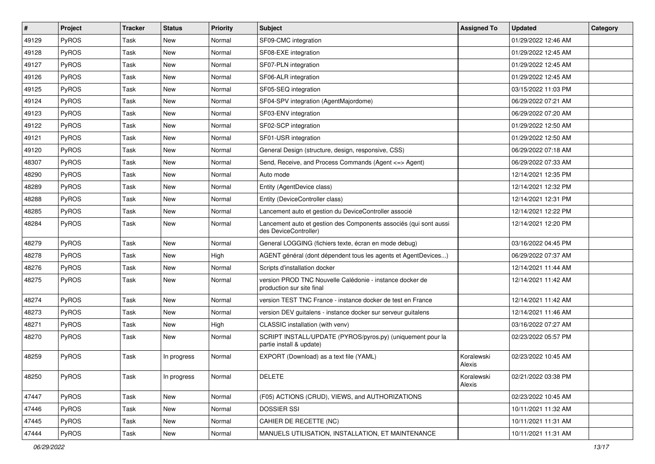| $\vert$ # | Project | <b>Tracker</b> | <b>Status</b> | <b>Priority</b> | <b>Subject</b>                                                                             | <b>Assigned To</b>   | <b>Updated</b>      | Category |
|-----------|---------|----------------|---------------|-----------------|--------------------------------------------------------------------------------------------|----------------------|---------------------|----------|
| 49129     | PyROS   | Task           | <b>New</b>    | Normal          | SF09-CMC integration                                                                       |                      | 01/29/2022 12:46 AM |          |
| 49128     | PyROS   | Task           | <b>New</b>    | Normal          | SF08-EXE integration                                                                       |                      | 01/29/2022 12:45 AM |          |
| 49127     | PyROS   | Task           | New           | Normal          | SF07-PLN integration                                                                       |                      | 01/29/2022 12:45 AM |          |
| 49126     | PyROS   | <b>Task</b>    | <b>New</b>    | Normal          | SF06-ALR integration                                                                       |                      | 01/29/2022 12:45 AM |          |
| 49125     | PyROS   | <b>Task</b>    | <b>New</b>    | Normal          | SF05-SEQ integration                                                                       |                      | 03/15/2022 11:03 PM |          |
| 49124     | PyROS   | Task           | New           | Normal          | SF04-SPV integration (AgentMajordome)                                                      |                      | 06/29/2022 07:21 AM |          |
| 49123     | PyROS   | <b>Task</b>    | <b>New</b>    | Normal          | SF03-ENV integration                                                                       |                      | 06/29/2022 07:20 AM |          |
| 49122     | PyROS   | Task           | New           | Normal          | SF02-SCP integration                                                                       |                      | 01/29/2022 12:50 AM |          |
| 49121     | PyROS   | Task           | <b>New</b>    | Normal          | SF01-USR integration                                                                       |                      | 01/29/2022 12:50 AM |          |
| 49120     | PyROS   | Task           | <b>New</b>    | Normal          | General Design (structure, design, responsive, CSS)                                        |                      | 06/29/2022 07:18 AM |          |
| 48307     | PyROS   | Task           | <b>New</b>    | Normal          | Send, Receive, and Process Commands (Agent <= > Agent)                                     |                      | 06/29/2022 07:33 AM |          |
| 48290     | PyROS   | Task           | <b>New</b>    | Normal          | Auto mode                                                                                  |                      | 12/14/2021 12:35 PM |          |
| 48289     | PyROS   | Task           | New           | Normal          | Entity (AgentDevice class)                                                                 |                      | 12/14/2021 12:32 PM |          |
| 48288     | PyROS   | Task           | <b>New</b>    | Normal          | Entity (DeviceController class)                                                            |                      | 12/14/2021 12:31 PM |          |
| 48285     | PyROS   | <b>Task</b>    | <b>New</b>    | Normal          | Lancement auto et gestion du DeviceController associé                                      |                      | 12/14/2021 12:22 PM |          |
| 48284     | PyROS   | Task           | New           | Normal          | Lancement auto et gestion des Components associés (qui sont aussi<br>des DeviceController) |                      | 12/14/2021 12:20 PM |          |
| 48279     | PyROS   | <b>Task</b>    | <b>New</b>    | Normal          | General LOGGING (fichiers texte, écran en mode debug)                                      |                      | 03/16/2022 04:45 PM |          |
| 48278     | PyROS   | Task           | <b>New</b>    | High            | AGENT général (dont dépendent tous les agents et AgentDevices)                             |                      | 06/29/2022 07:37 AM |          |
| 48276     | PyROS   | <b>Task</b>    | <b>New</b>    | Normal          | Scripts d'installation docker                                                              |                      | 12/14/2021 11:44 AM |          |
| 48275     | PyROS   | Task           | New           | Normal          | version PROD TNC Nouvelle Calédonie - instance docker de<br>production sur site final      |                      | 12/14/2021 11:42 AM |          |
| 48274     | PyROS   | <b>Task</b>    | <b>New</b>    | Normal          | version TEST TNC France - instance docker de test en France                                |                      | 12/14/2021 11:42 AM |          |
| 48273     | PyROS   | Task           | New           | Normal          | version DEV guitalens - instance docker sur serveur guitalens                              |                      | 12/14/2021 11:46 AM |          |
| 48271     | PyROS   | Task           | <b>New</b>    | High            | CLASSIC installation (with venv)                                                           |                      | 03/16/2022 07:27 AM |          |
| 48270     | PyROS   | Task           | <b>New</b>    | Normal          | SCRIPT INSTALL/UPDATE (PYROS/pyros.py) (uniquement pour la<br>partie install & update)     |                      | 02/23/2022 05:57 PM |          |
| 48259     | PyROS   | Task           | In progress   | Normal          | EXPORT (Download) as a text file (YAML)                                                    | Koralewski<br>Alexis | 02/23/2022 10:45 AM |          |
| 48250     | PyROS   | Task           | In progress   | Normal          | <b>DELETE</b>                                                                              | Koralewski<br>Alexis | 02/21/2022 03:38 PM |          |
| 47447     | PyROS   | Task           | New           | Normal          | (F05) ACTIONS (CRUD), VIEWS, and AUTHORIZATIONS                                            |                      | 02/23/2022 10:45 AM |          |
| 47446     | PyROS   | Task           | New           | Normal          | <b>DOSSIER SSI</b>                                                                         |                      | 10/11/2021 11:32 AM |          |
| 47445     | PyROS   | Task           | New           | Normal          | CAHIER DE RECETTE (NC)                                                                     |                      | 10/11/2021 11:31 AM |          |
| 47444     | PyROS   | Task           | New           | Normal          | MANUELS UTILISATION, INSTALLATION, ET MAINTENANCE                                          |                      | 10/11/2021 11:31 AM |          |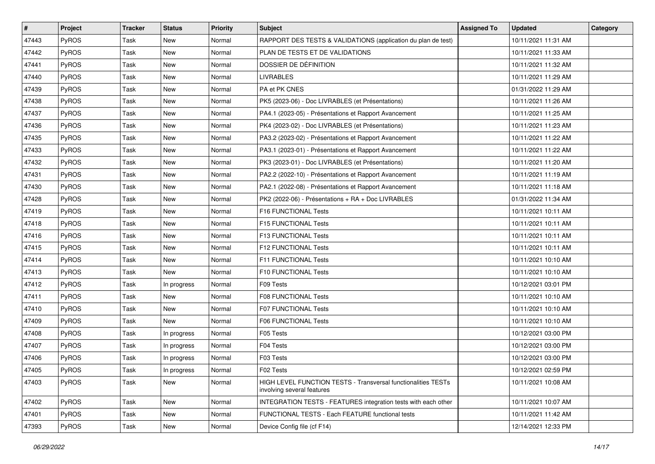| $\vert$ # | Project | <b>Tracker</b> | <b>Status</b> | <b>Priority</b> | <b>Subject</b>                                                                                     | <b>Assigned To</b> | <b>Updated</b>      | Category |
|-----------|---------|----------------|---------------|-----------------|----------------------------------------------------------------------------------------------------|--------------------|---------------------|----------|
| 47443     | PyROS   | Task           | New           | Normal          | RAPPORT DES TESTS & VALIDATIONS (application du plan de test)                                      |                    | 10/11/2021 11:31 AM |          |
| 47442     | PyROS   | Task           | New           | Normal          | PLAN DE TESTS ET DE VALIDATIONS                                                                    |                    | 10/11/2021 11:33 AM |          |
| 47441     | PyROS   | Task           | New           | Normal          | DOSSIER DE DÉFINITION                                                                              |                    | 10/11/2021 11:32 AM |          |
| 47440     | PyROS   | Task           | New           | Normal          | <b>LIVRABLES</b>                                                                                   |                    | 10/11/2021 11:29 AM |          |
| 47439     | PyROS   | Task           | <b>New</b>    | Normal          | PA et PK CNES                                                                                      |                    | 01/31/2022 11:29 AM |          |
| 47438     | PyROS   | Task           | <b>New</b>    | Normal          | PK5 (2023-06) - Doc LIVRABLES (et Présentations)                                                   |                    | 10/11/2021 11:26 AM |          |
| 47437     | PyROS   | Task           | <b>New</b>    | Normal          | PA4.1 (2023-05) - Présentations et Rapport Avancement                                              |                    | 10/11/2021 11:25 AM |          |
| 47436     | PyROS   | Task           | New           | Normal          | PK4 (2023-02) - Doc LIVRABLES (et Présentations)                                                   |                    | 10/11/2021 11:23 AM |          |
| 47435     | PyROS   | Task           | New           | Normal          | PA3.2 (2023-02) - Présentations et Rapport Avancement                                              |                    | 10/11/2021 11:22 AM |          |
| 47433     | PyROS   | Task           | <b>New</b>    | Normal          | PA3.1 (2023-01) - Présentations et Rapport Avancement                                              |                    | 10/11/2021 11:22 AM |          |
| 47432     | PyROS   | Task           | <b>New</b>    | Normal          | PK3 (2023-01) - Doc LIVRABLES (et Présentations)                                                   |                    | 10/11/2021 11:20 AM |          |
| 47431     | PyROS   | Task           | <b>New</b>    | Normal          | PA2.2 (2022-10) - Présentations et Rapport Avancement                                              |                    | 10/11/2021 11:19 AM |          |
| 47430     | PyROS   | Task           | New           | Normal          | PA2.1 (2022-08) - Présentations et Rapport Avancement                                              |                    | 10/11/2021 11:18 AM |          |
| 47428     | PyROS   | Task           | New           | Normal          | PK2 (2022-06) - Présentations + RA + Doc LIVRABLES                                                 |                    | 01/31/2022 11:34 AM |          |
| 47419     | PyROS   | Task           | <b>New</b>    | Normal          | F16 FUNCTIONAL Tests                                                                               |                    | 10/11/2021 10:11 AM |          |
| 47418     | PyROS   | Task           | <b>New</b>    | Normal          | F15 FUNCTIONAL Tests                                                                               |                    | 10/11/2021 10:11 AM |          |
| 47416     | PyROS   | Task           | New           | Normal          | F13 FUNCTIONAL Tests                                                                               |                    | 10/11/2021 10:11 AM |          |
| 47415     | PyROS   | Task           | New           | Normal          | F12 FUNCTIONAL Tests                                                                               |                    | 10/11/2021 10:11 AM |          |
| 47414     | PyROS   | Task           | New           | Normal          | F11 FUNCTIONAL Tests                                                                               |                    | 10/11/2021 10:10 AM |          |
| 47413     | PyROS   | Task           | New           | Normal          | F10 FUNCTIONAL Tests                                                                               |                    | 10/11/2021 10:10 AM |          |
| 47412     | PyROS   | Task           | In progress   | Normal          | F09 Tests                                                                                          |                    | 10/12/2021 03:01 PM |          |
| 47411     | PyROS   | Task           | New           | Normal          | F08 FUNCTIONAL Tests                                                                               |                    | 10/11/2021 10:10 AM |          |
| 47410     | PyROS   | Task           | <b>New</b>    | Normal          | F07 FUNCTIONAL Tests                                                                               |                    | 10/11/2021 10:10 AM |          |
| 47409     | PyROS   | Task           | New           | Normal          | F06 FUNCTIONAL Tests                                                                               |                    | 10/11/2021 10:10 AM |          |
| 47408     | PyROS   | Task           | In progress   | Normal          | F05 Tests                                                                                          |                    | 10/12/2021 03:00 PM |          |
| 47407     | PyROS   | Task           | In progress   | Normal          | F04 Tests                                                                                          |                    | 10/12/2021 03:00 PM |          |
| 47406     | PyROS   | Task           | In progress   | Normal          | F03 Tests                                                                                          |                    | 10/12/2021 03:00 PM |          |
| 47405     | PyROS   | Task           | In progress   | Normal          | F02 Tests                                                                                          |                    | 10/12/2021 02:59 PM |          |
| 47403     | PyROS   | Task           | New           | Normal          | <b>HIGH LEVEL FUNCTION TESTS - Transversal functionalities TESTs</b><br>involving several features |                    | 10/11/2021 10:08 AM |          |
| 47402     | PyROS   | Task           | New           | Normal          | INTEGRATION TESTS - FEATURES integration tests with each other                                     |                    | 10/11/2021 10:07 AM |          |
| 47401     | PyROS   | Task           | New           | Normal          | FUNCTIONAL TESTS - Each FEATURE functional tests                                                   |                    | 10/11/2021 11:42 AM |          |
| 47393     | PyROS   | Task           | New           | Normal          | Device Config file (cf F14)                                                                        |                    | 12/14/2021 12:33 PM |          |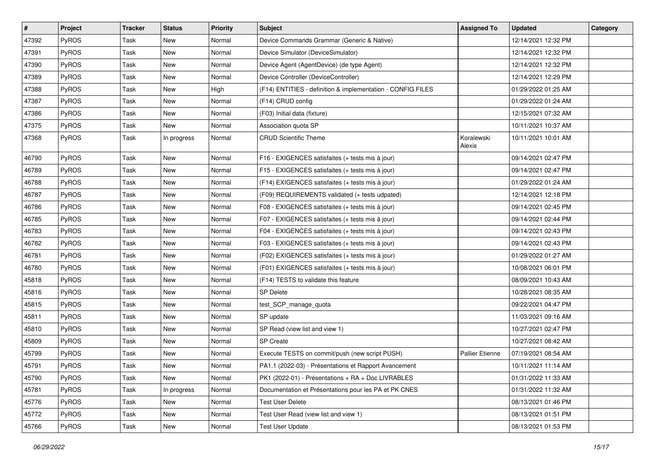| #     | <b>Project</b> | <b>Tracker</b> | <b>Status</b> | <b>Priority</b> | <b>Subject</b>                                              | <b>Assigned To</b>     | <b>Updated</b>      | Category |
|-------|----------------|----------------|---------------|-----------------|-------------------------------------------------------------|------------------------|---------------------|----------|
| 47392 | PyROS          | Task           | New           | Normal          | Device Commands Grammar (Generic & Native)                  |                        | 12/14/2021 12:32 PM |          |
| 47391 | PyROS          | Task           | <b>New</b>    | Normal          | Device Simulator (DeviceSimulator)                          |                        | 12/14/2021 12:32 PM |          |
| 47390 | <b>PyROS</b>   | Task           | New           | Normal          | Device Agent (AgentDevice) (de type Agent)                  |                        | 12/14/2021 12:32 PM |          |
| 47389 | PyROS          | Task           | New           | Normal          | Device Controller (DeviceController)                        |                        | 12/14/2021 12:29 PM |          |
| 47388 | PyROS          | Task           | New           | High            | (F14) ENTITIES - definition & implementation - CONFIG FILES |                        | 01/29/2022 01:25 AM |          |
| 47387 | <b>PyROS</b>   | Task           | New           | Normal          | (F14) CRUD config                                           |                        | 01/29/2022 01:24 AM |          |
| 47386 | PyROS          | Task           | <b>New</b>    | Normal          | (F03) Initial data (fixture)                                |                        | 12/15/2021 07:32 AM |          |
| 47375 | <b>PyROS</b>   | Task           | New           | Normal          | Association quota SP                                        |                        | 10/11/2021 10:37 AM |          |
| 47368 | PyROS          | Task           | In progress   | Normal          | <b>CRUD Scientific Theme</b>                                | Koralewski<br>Alexis   | 10/11/2021 10:01 AM |          |
| 46790 | <b>PyROS</b>   | Task           | <b>New</b>    | Normal          | F16 - EXIGENCES satisfaites (+ tests mis à jour)            |                        | 09/14/2021 02:47 PM |          |
| 46789 | PyROS          | Task           | New           | Normal          | F15 - EXIGENCES satisfaites (+ tests mis à jour)            |                        | 09/14/2021 02:47 PM |          |
| 46788 | PyROS          | Task           | New           | Normal          | (F14) EXIGENCES satisfaites (+ tests mis à jour)            |                        | 01/29/2022 01:24 AM |          |
| 46787 | PyROS          | Task           | New           | Normal          | (F09) REQUIREMENTS validated (+ tests udpated)              |                        | 12/14/2021 12:18 PM |          |
| 46786 | PyROS          | Task           | <b>New</b>    | Normal          | F08 - EXIGENCES satisfaites (+ tests mis à jour)            |                        | 09/14/2021 02:45 PM |          |
| 46785 | PyROS          | Task           | New           | Normal          | F07 - EXIGENCES satisfaites (+ tests mis à jour)            |                        | 09/14/2021 02:44 PM |          |
| 46783 | PyROS          | Task           | New           | Normal          | F04 - EXIGENCES satisfaites (+ tests mis à jour)            |                        | 09/14/2021 02:43 PM |          |
| 46782 | PyROS          | Task           | New           | Normal          | F03 - EXIGENCES satisfaites (+ tests mis à jour)            |                        | 09/14/2021 02:43 PM |          |
| 46781 | <b>PyROS</b>   | Task           | New           | Normal          | (F02) EXIGENCES satisfaites (+ tests mis à jour)            |                        | 01/29/2022 01:27 AM |          |
| 46780 | PyROS          | Task           | <b>New</b>    | Normal          | (F01) EXIGENCES satisfaites (+ tests mis à jour)            |                        | 10/08/2021 06:01 PM |          |
| 45818 | PyROS          | Task           | New           | Normal          | (F14) TESTS to validate this feature                        |                        | 08/09/2021 10:43 AM |          |
| 45816 | PyROS          | Task           | New           | Normal          | <b>SP Delete</b>                                            |                        | 10/28/2021 08:35 AM |          |
| 45815 | <b>PyROS</b>   | Task           | <b>New</b>    | Normal          | test_SCP_manage_quota                                       |                        | 09/22/2021 04:47 PM |          |
| 45811 | <b>PyROS</b>   | Task           | New           | Normal          | SP update                                                   |                        | 11/03/2021 09:16 AM |          |
| 45810 | PyROS          | Task           | New           | Normal          | SP Read (view list and view 1)                              |                        | 10/27/2021 02:47 PM |          |
| 45809 | PyROS          | Task           | New           | Normal          | <b>SP Create</b>                                            |                        | 10/27/2021 08:42 AM |          |
| 45799 | PyROS          | Task           | New           | Normal          | Execute TESTS on commit/push (new script PUSH)              | <b>Pallier Etienne</b> | 07/19/2021 08:54 AM |          |
| 45791 | PyROS          | Task           | <b>New</b>    | Normal          | PA1.1 (2022-03) - Présentations et Rapport Avancement       |                        | 10/11/2021 11:14 AM |          |
| 45790 | PyROS          | Task           | New           | Normal          | PK1 (2022-01) - Présentations + RA + Doc LIVRABLES          |                        | 01/31/2022 11:33 AM |          |
| 45781 | PyROS          | Task           | In progress   | Normal          | Documentation et Présentations pour les PA et PK CNES       |                        | 01/31/2022 11:32 AM |          |
| 45776 | PyROS          | Task           | New           | Normal          | <b>Test User Delete</b>                                     |                        | 08/13/2021 01:46 PM |          |
| 45772 | PyROS          | Task           | New           | Normal          | Test User Read (view list and view 1)                       |                        | 08/13/2021 01:51 PM |          |
| 45766 | PyROS          | Task           | New           | Normal          | <b>Test User Update</b>                                     |                        | 08/13/2021 01:53 PM |          |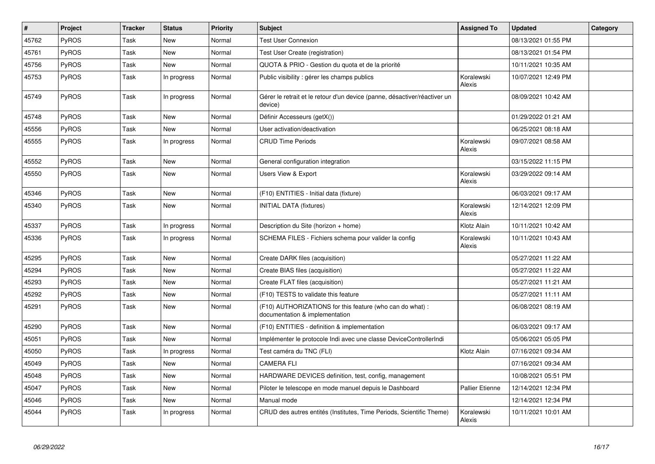| #     | Project      | <b>Tracker</b> | <b>Status</b> | <b>Priority</b> | <b>Subject</b>                                                                              | <b>Assigned To</b>     | <b>Updated</b>      | Category |
|-------|--------------|----------------|---------------|-----------------|---------------------------------------------------------------------------------------------|------------------------|---------------------|----------|
| 45762 | PyROS        | Task           | <b>New</b>    | Normal          | <b>Test User Connexion</b>                                                                  |                        | 08/13/2021 01:55 PM |          |
| 45761 | PyROS        | Task           | <b>New</b>    | Normal          | Test User Create (registration)                                                             |                        | 08/13/2021 01:54 PM |          |
| 45756 | PyROS        | Task           | <b>New</b>    | Normal          | QUOTA & PRIO - Gestion du quota et de la priorité                                           |                        | 10/11/2021 10:35 AM |          |
| 45753 | <b>PyROS</b> | Task           | In progress   | Normal          | Public visibility : gérer les champs publics                                                | Koralewski<br>Alexis   | 10/07/2021 12:49 PM |          |
| 45749 | PyROS        | Task           | In progress   | Normal          | Gérer le retrait et le retour d'un device (panne, désactiver/réactiver un<br>device)        |                        | 08/09/2021 10:42 AM |          |
| 45748 | PyROS        | Task           | <b>New</b>    | Normal          | Définir Accesseurs (getX())                                                                 |                        | 01/29/2022 01:21 AM |          |
| 45556 | PyROS        | Task           | <b>New</b>    | Normal          | User activation/deactivation                                                                |                        | 06/25/2021 08:18 AM |          |
| 45555 | PyROS        | Task           | In progress   | Normal          | <b>CRUD Time Periods</b>                                                                    | Koralewski<br>Alexis   | 09/07/2021 08:58 AM |          |
| 45552 | PyROS        | Task           | <b>New</b>    | Normal          | General configuration integration                                                           |                        | 03/15/2022 11:15 PM |          |
| 45550 | PyROS        | Task           | <b>New</b>    | Normal          | <b>Users View &amp; Export</b>                                                              | Koralewski<br>Alexis   | 03/29/2022 09:14 AM |          |
| 45346 | PyROS        | Task           | <b>New</b>    | Normal          | (F10) ENTITIES - Initial data (fixture)                                                     |                        | 06/03/2021 09:17 AM |          |
| 45340 | PyROS        | Task           | <b>New</b>    | Normal          | <b>INITIAL DATA (fixtures)</b>                                                              | Koralewski<br>Alexis   | 12/14/2021 12:09 PM |          |
| 45337 | PyROS        | Task           | In progress   | Normal          | Description du Site (horizon + home)                                                        | Klotz Alain            | 10/11/2021 10:42 AM |          |
| 45336 | PyROS        | Task           | In progress   | Normal          | SCHEMA FILES - Fichiers schema pour valider la config                                       | Koralewski<br>Alexis   | 10/11/2021 10:43 AM |          |
| 45295 | PyROS        | Task           | <b>New</b>    | Normal          | Create DARK files (acquisition)                                                             |                        | 05/27/2021 11:22 AM |          |
| 45294 | <b>PyROS</b> | Task           | <b>New</b>    | Normal          | Create BIAS files (acquisition)                                                             |                        | 05/27/2021 11:22 AM |          |
| 45293 | PyROS        | Task           | <b>New</b>    | Normal          | Create FLAT files (acquisition)                                                             |                        | 05/27/2021 11:21 AM |          |
| 45292 | <b>PyROS</b> | Task           | <b>New</b>    | Normal          | (F10) TESTS to validate this feature                                                        |                        | 05/27/2021 11:11 AM |          |
| 45291 | PyROS        | Task           | New           | Normal          | (F10) AUTHORIZATIONS for this feature (who can do what) :<br>documentation & implementation |                        | 06/08/2021 08:19 AM |          |
| 45290 | <b>PyROS</b> | Task           | <b>New</b>    | Normal          | (F10) ENTITIES - definition & implementation                                                |                        | 06/03/2021 09:17 AM |          |
| 45051 | PyROS        | Task           | New           | Normal          | Implémenter le protocole Indi avec une classe DeviceControllerIndi                          |                        | 05/06/2021 05:05 PM |          |
| 45050 | PyROS        | Task           | In progress   | Normal          | Test caméra du TNC (FLI)                                                                    | Klotz Alain            | 07/16/2021 09:34 AM |          |
| 45049 | PyROS        | Task           | New           | Normal          | <b>CAMERA FLI</b>                                                                           |                        | 07/16/2021 09:34 AM |          |
| 45048 | PyROS        | Task           | <b>New</b>    | Normal          | HARDWARE DEVICES definition, test, config, management                                       |                        | 10/08/2021 05:51 PM |          |
| 45047 | PyROS        | Task           | <b>New</b>    | Normal          | Piloter le telescope en mode manuel depuis le Dashboard                                     | <b>Pallier Etienne</b> | 12/14/2021 12:34 PM |          |
| 45046 | PyROS        | Task           | <b>New</b>    | Normal          | Manual mode                                                                                 |                        | 12/14/2021 12:34 PM |          |
| 45044 | PyROS        | Task           | In progress   | Normal          | CRUD des autres entités (Institutes, Time Periods, Scientific Theme)                        | Koralewski<br>Alexis   | 10/11/2021 10:01 AM |          |